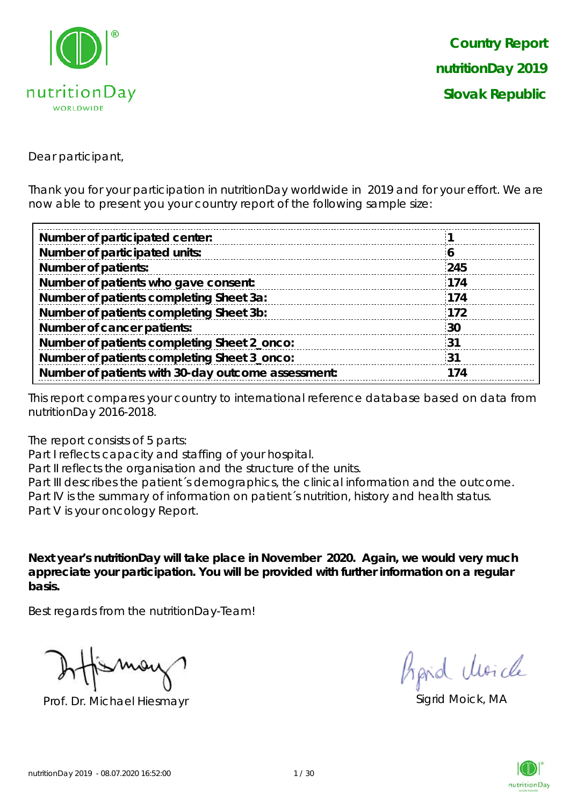

Dear participant,

Thank you for your participation in nutritionDay worldwide in 2019 and for your effort. We are now able to present you your country report of the following sample size:

| Number of participated center:                     |              |
|----------------------------------------------------|--------------|
| Number of participated units:                      | $\mathbf{o}$ |
| <b>Number of patients:</b>                         | 245          |
| Number of patients who gave consent:               | 174          |
| Number of patients completing Sheet 3a:            | 174          |
| Number of patients completing Sheet 3b:            | 172          |
| Number of cancer patients:                         | 30           |
| Number of patients completing Sheet 2_onco:        | ્31          |
| Number of patients completing Sheet 3_onco:        | 31           |
| Number of patients with 30-day outcome assessment: | 174          |

This report compares your country to international reference database based on data from nutritionDay 2016-2018.

The report consists of 5 parts:

Part I reflects capacity and staffing of your hospital.

Part II reflects the organisation and the structure of the units.

Part III describes the patient's demographics, the clinical information and the outcome. Part IV is the summary of information on patient´s nutrition, history and health status. Part V is your oncology Report.

**Next year's nutritionDay will take place in November 2020. Again, we would very much appreciate your participation. You will be provided with further information on a regular basis.**

Best regards from the nutritionDay-Team!

Prof. Dr. Michael Hiesmayr Sigrid Moick, MA

hard Moich

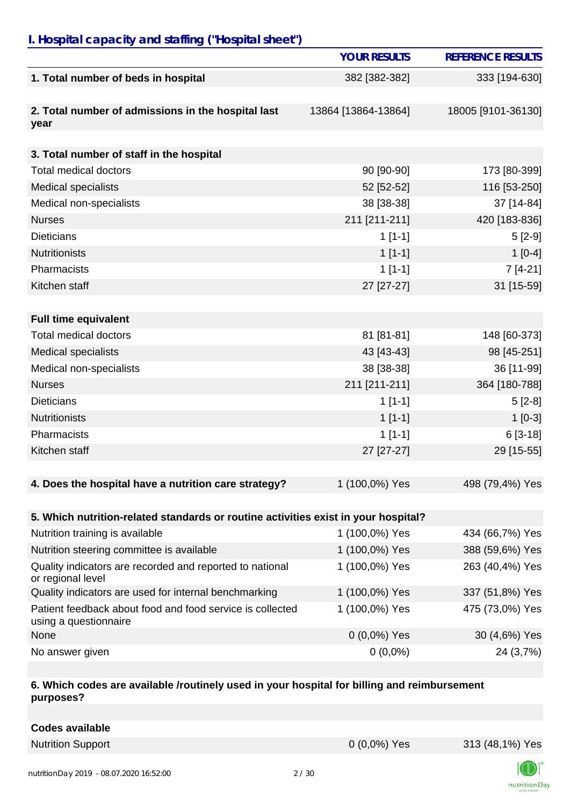## *I. Hospital capacity and staffing ("Hospital sheet")*

|                                                                                    | <b>YOUR RESULTS</b> | <b>REFERENCE RESULTS</b> |
|------------------------------------------------------------------------------------|---------------------|--------------------------|
| 1. Total number of beds in hospital                                                | 382 [382-382]       | 333 [194-630]            |
| 2. Total number of admissions in the hospital last<br>year                         | 13864 [13864-13864] | 18005 [9101-36130]       |
| 3. Total number of staff in the hospital                                           |                     |                          |
| <b>Total medical doctors</b>                                                       | 90 [90-90]          | 173 [80-399]             |
| <b>Medical specialists</b>                                                         | 52 [52-52]          | 116 [53-250]             |
| Medical non-specialists                                                            | 38 [38-38]          | 37 [14-84]               |
| <b>Nurses</b>                                                                      | 211 [211-211]       | 420 [183-836]            |
| <b>Dieticians</b>                                                                  | $1[1-1]$            | $5[2-9]$                 |
| <b>Nutritionists</b>                                                               | $1[1-1]$            | $1[0-4]$                 |
| Pharmacists                                                                        | $1[1-1]$            | $7[4-21]$                |
| Kitchen staff                                                                      | 27 [27-27]          | 31 [15-59]               |
|                                                                                    |                     |                          |
| <b>Full time equivalent</b>                                                        |                     |                          |
| <b>Total medical doctors</b>                                                       | 81 [81-81]          | 148 [60-373]             |
| <b>Medical specialists</b>                                                         | 43 [43-43]          | 98 [45-251]              |
| Medical non-specialists                                                            | 38 [38-38]          | 36 [11-99]               |
| <b>Nurses</b>                                                                      | 211 [211-211]       | 364 [180-788]            |
| <b>Dieticians</b>                                                                  | $1[1-1]$            | $5[2-8]$                 |
| <b>Nutritionists</b>                                                               | $1[1-1]$            | $1[0-3]$                 |
| Pharmacists                                                                        | $1[1-1]$            | $6[3-18]$                |
| Kitchen staff                                                                      | 27 [27-27]          | 29 [15-55]               |
|                                                                                    |                     |                          |
| 4. Does the hospital have a nutrition care strategy?                               | 1 (100,0%) Yes      | 498 (79,4%) Yes          |
|                                                                                    |                     |                          |
| 5. Which nutrition-related standards or routine activities exist in your hospital? |                     |                          |
| Nutrition training is available                                                    | 1 (100,0%) Yes      | 434 (66,7%) Yes          |
| Nutrition steering committee is available                                          | 1 (100,0%) Yes      | 388 (59,6%) Yes          |
| Quality indicators are recorded and reported to national<br>or regional level      | 1 (100,0%) Yes      | 263 (40,4%) Yes          |
| Quality indicators are used for internal benchmarking                              | 1 (100,0%) Yes      | 337 (51,8%) Yes          |
| Patient feedback about food and food service is collected<br>using a questionnaire | 1 (100,0%) Yes      | 475 (73,0%) Yes          |
| None                                                                               | $0(0,0\%)$ Yes      | 30 (4,6%) Yes            |
| No answer given                                                                    | $0(0,0\%)$          | 24 (3,7%)                |

#### **6. Which codes are available /routinely used in your hospital for billing and reimbursement purposes?**

|  |  | <b>Codes available</b> |
|--|--|------------------------|
|--|--|------------------------|



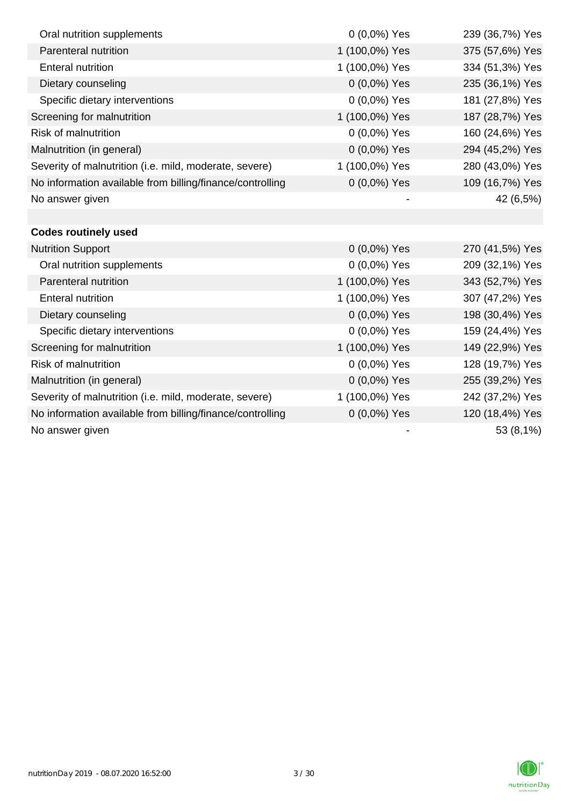| Oral nutrition supplements                                | $0(0,0\%)$ Yes | 239 (36,7%) Yes |
|-----------------------------------------------------------|----------------|-----------------|
| Parenteral nutrition                                      | 1 (100,0%) Yes | 375 (57,6%) Yes |
| <b>Enteral nutrition</b>                                  | 1 (100,0%) Yes | 334 (51,3%) Yes |
| Dietary counseling                                        | 0 (0,0%) Yes   | 235 (36,1%) Yes |
| Specific dietary interventions                            | 0 (0,0%) Yes   | 181 (27,8%) Yes |
| Screening for malnutrition                                | 1 (100,0%) Yes | 187 (28,7%) Yes |
| <b>Risk of malnutrition</b>                               | 0 (0,0%) Yes   | 160 (24,6%) Yes |
| Malnutrition (in general)                                 | 0 (0,0%) Yes   | 294 (45,2%) Yes |
| Severity of malnutrition (i.e. mild, moderate, severe)    | 1 (100,0%) Yes | 280 (43,0%) Yes |
| No information available from billing/finance/controlling | $0(0,0\%)$ Yes | 109 (16,7%) Yes |
| No answer given                                           |                | 42 (6,5%)       |
|                                                           |                |                 |
| <b>Codes routinely used</b>                               |                |                 |
| <b>Nutrition Support</b>                                  | 0 (0,0%) Yes   | 270 (41,5%) Yes |
| Oral nutrition supplements                                | 0 (0,0%) Yes   | 209 (32,1%) Yes |
| Parenteral nutrition                                      | 1 (100,0%) Yes | 343 (52,7%) Yes |
| <b>Enteral nutrition</b>                                  | 1 (100,0%) Yes | 307 (47,2%) Yes |
| Dietary counseling                                        | 0 (0,0%) Yes   | 198 (30,4%) Yes |
| Specific dietary interventions                            | 0 (0,0%) Yes   | 159 (24,4%) Yes |
| Screening for malnutrition                                | 1 (100,0%) Yes | 149 (22,9%) Yes |
| Risk of malnutrition                                      | 0 (0,0%) Yes   | 128 (19,7%) Yes |
| Malnutrition (in general)                                 | 0 (0,0%) Yes   | 255 (39,2%) Yes |
| Severity of malnutrition (i.e. mild, moderate, severe)    | 1 (100,0%) Yes | 242 (37,2%) Yes |
| No information available from billing/finance/controlling | $0(0,0\%)$ Yes | 120 (18,4%) Yes |
| No answer given                                           |                | 53 (8,1%)       |

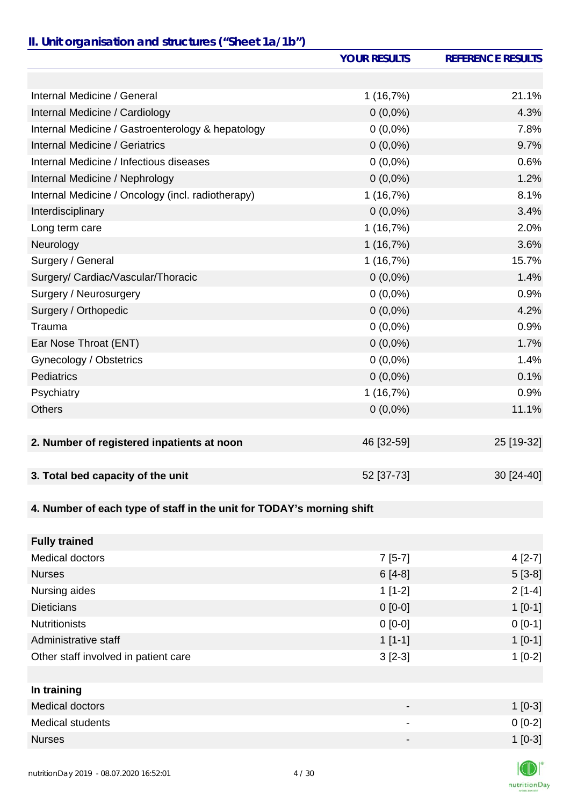### *II. Unit organisation and structures ("Sheet 1a/1b")*

|                                                                       | <b>YOUR RESULTS</b> | <b>REFERENCE RESULTS</b> |
|-----------------------------------------------------------------------|---------------------|--------------------------|
|                                                                       |                     |                          |
| Internal Medicine / General                                           | 1(16,7%)            | 21.1%                    |
| Internal Medicine / Cardiology                                        | $0(0,0\%)$          | 4.3%                     |
| Internal Medicine / Gastroenterology & hepatology                     | $0(0,0\%)$          | 7.8%                     |
| Internal Medicine / Geriatrics                                        | $0(0,0\%)$          | 9.7%                     |
| Internal Medicine / Infectious diseases                               | $0(0,0\%)$          | 0.6%                     |
| Internal Medicine / Nephrology                                        | $0(0,0\%)$          | 1.2%                     |
| Internal Medicine / Oncology (incl. radiotherapy)                     | 1(16,7%)            | 8.1%                     |
| Interdisciplinary                                                     | $0(0,0\%)$          | 3.4%                     |
| Long term care                                                        | 1(16,7%)            | 2.0%                     |
| Neurology                                                             | 1(16,7%)            | 3.6%                     |
| Surgery / General                                                     | 1(16,7%)            | 15.7%                    |
| Surgery/ Cardiac/Vascular/Thoracic                                    | $0(0,0\%)$          | 1.4%                     |
| Surgery / Neurosurgery                                                | $0(0,0\%)$          | 0.9%                     |
| Surgery / Orthopedic                                                  | $0(0,0\%)$          | 4.2%                     |
| Trauma                                                                | $0(0,0\%)$          | 0.9%                     |
| Ear Nose Throat (ENT)                                                 | $0(0,0\%)$          | 1.7%                     |
| Gynecology / Obstetrics                                               | $0(0,0\%)$          | 1.4%                     |
| <b>Pediatrics</b>                                                     | $0(0,0\%)$          | 0.1%                     |
| Psychiatry                                                            | 1(16,7%)            | 0.9%                     |
| <b>Others</b>                                                         | $0(0,0\%)$          | 11.1%                    |
|                                                                       |                     |                          |
| 2. Number of registered inpatients at noon                            | 46 [32-59]          | 25 [19-32]               |
| 3. Total bed capacity of the unit                                     | 52 [37-73]          | 30 [24-40]               |
|                                                                       |                     |                          |
| 4. Number of each type of staff in the unit for TODAY's morning shift |                     |                          |
|                                                                       |                     |                          |
| <b>Fully trained</b>                                                  |                     |                          |
| Medical doctors                                                       | $7[5-7]$            | $4[2-7]$                 |
| <b>Nurses</b>                                                         | $6[4-8]$            | $5[3-8]$                 |
| Nursing aides                                                         | $1[1-2]$            | $2[1-4]$                 |
| <b>Dieticians</b>                                                     | $0 [0-0]$           | $1[0-1]$                 |
| <b>Nutritionists</b>                                                  | $0[0-0]$            | $0[0-1]$                 |
| Administrative staff                                                  | $1[1-1]$            | $1[0-1]$                 |
| Other staff involved in patient care                                  | $3[2-3]$            | $1[0-2]$                 |
|                                                                       |                     |                          |
| In training                                                           |                     |                          |
| <b>Medical doctors</b>                                                |                     | $1[0-3]$                 |
| Medical students                                                      |                     | $0[0-2]$                 |

Nurses  $1$  [0-3]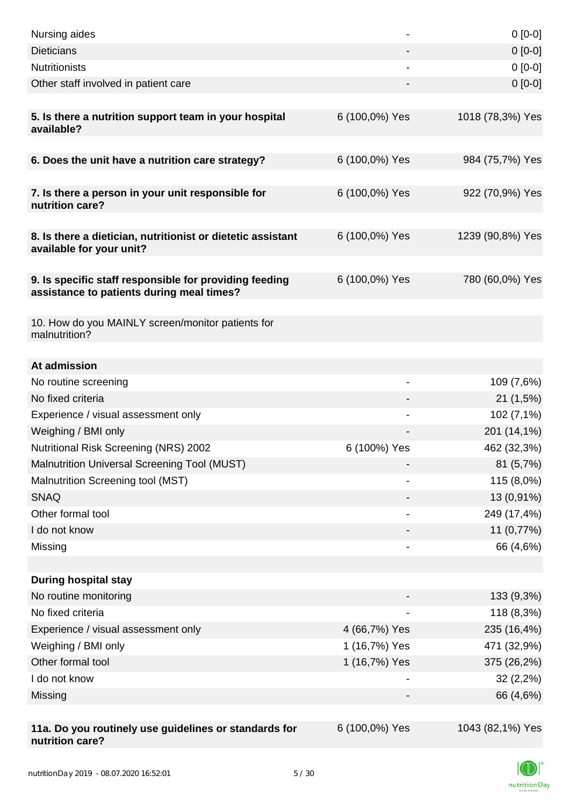| Nursing aides                                                                                       |                          | $0[0-0]$               |
|-----------------------------------------------------------------------------------------------------|--------------------------|------------------------|
| <b>Dieticians</b>                                                                                   |                          | $0[0-0]$               |
| <b>Nutritionists</b>                                                                                |                          | $0[0-0]$               |
| Other staff involved in patient care                                                                |                          | $0 [0-0]$              |
|                                                                                                     |                          |                        |
| 5. Is there a nutrition support team in your hospital<br>available?                                 | 6 (100,0%) Yes           | 1018 (78,3%) Yes       |
| 6. Does the unit have a nutrition care strategy?                                                    | 6 (100,0%) Yes           | 984 (75,7%) Yes        |
| 7. Is there a person in your unit responsible for<br>nutrition care?                                | 6 (100,0%) Yes           | 922 (70,9%) Yes        |
| 8. Is there a dietician, nutritionist or dietetic assistant<br>available for your unit?             | 6 (100,0%) Yes           | 1239 (90,8%) Yes       |
| 9. Is specific staff responsible for providing feeding<br>assistance to patients during meal times? | 6 (100,0%) Yes           | 780 (60,0%) Yes        |
| 10. How do you MAINLY screen/monitor patients for<br>malnutrition?                                  |                          |                        |
|                                                                                                     |                          |                        |
| At admission                                                                                        | $\overline{\phantom{a}}$ |                        |
| No routine screening<br>No fixed criteria                                                           |                          | 109 (7,6%)<br>21(1,5%) |
| Experience / visual assessment only                                                                 |                          | 102 (7,1%)             |
| Weighing / BMI only                                                                                 |                          | 201 (14,1%)            |
| Nutritional Risk Screening (NRS) 2002                                                               | 6 (100%) Yes             | 462 (32,3%)            |
| Malnutrition Universal Screening Tool (MUST)                                                        |                          | 81 (5,7%)              |
| Malnutrition Screening tool (MST)                                                                   |                          | 115 (8,0%)             |
| <b>SNAQ</b>                                                                                         |                          | 13 (0,91%)             |
| Other formal tool                                                                                   |                          | 249 (17,4%)            |
| I do not know                                                                                       |                          | 11 (0,77%)             |
| Missing                                                                                             |                          | 66 (4,6%)              |
|                                                                                                     |                          |                        |
| <b>During hospital stay</b>                                                                         |                          |                        |
| No routine monitoring                                                                               |                          | 133 (9,3%)             |
| No fixed criteria                                                                                   |                          | 118 (8,3%)             |
| Experience / visual assessment only                                                                 | 4 (66,7%) Yes            | 235 (16,4%)            |
| Weighing / BMI only                                                                                 | 1 (16,7%) Yes            | 471 (32,9%)            |
| Other formal tool                                                                                   | 1 (16,7%) Yes            | 375 (26,2%)            |
| I do not know                                                                                       |                          | 32(2,2%)               |
| Missing                                                                                             |                          | 66 (4,6%)              |
|                                                                                                     |                          |                        |
| 11a. Do you routinely use guidelines or standards for<br>nutrition care?                            | 6 (100,0%) Yes           | 1043 (82,1%) Yes       |

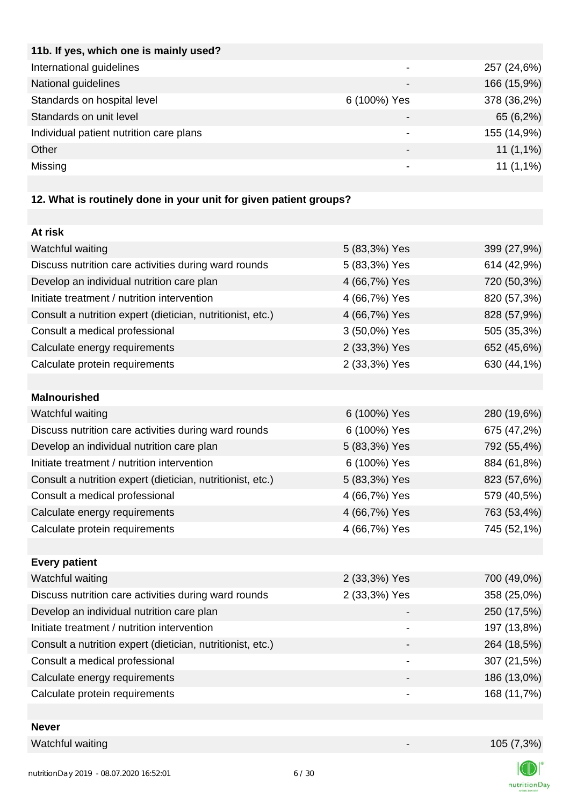| 11b. If yes, which one is mainly used?  |                          |             |
|-----------------------------------------|--------------------------|-------------|
| International guidelines                | $\overline{\phantom{0}}$ | 257 (24,6%) |
| National guidelines                     |                          | 166 (15,9%) |
| Standards on hospital level             | 6 (100%) Yes             | 378 (36,2%) |
| Standards on unit level                 | $\overline{\phantom{0}}$ | 65 (6,2%)   |
| Individual patient nutrition care plans | $\overline{\phantom{0}}$ | 155 (14,9%) |
| Other                                   |                          | $11(1,1\%)$ |
| Missing                                 |                          | $11(1,1\%)$ |
|                                         |                          |             |

# **12. What is routinely done in your unit for given patient groups?**

| At risk                                                    |                |             |
|------------------------------------------------------------|----------------|-------------|
| Watchful waiting                                           | 5 (83,3%) Yes  | 399 (27,9%) |
| Discuss nutrition care activities during ward rounds       | 5 (83,3%) Yes  | 614 (42,9%) |
| Develop an individual nutrition care plan                  | 4 (66,7%) Yes  | 720 (50,3%) |
| Initiate treatment / nutrition intervention                | 4 (66,7%) Yes  | 820 (57,3%) |
| Consult a nutrition expert (dietician, nutritionist, etc.) | 4 (66,7%) Yes  | 828 (57,9%) |
| Consult a medical professional                             | 3 (50,0%) Yes  | 505 (35,3%) |
| Calculate energy requirements                              | 2 (33,3%) Yes  | 652 (45,6%) |
| Calculate protein requirements                             | 2 (33,3%) Yes  | 630 (44,1%) |
|                                                            |                |             |
| <b>Malnourished</b>                                        |                |             |
| Watchful waiting                                           | 6 (100%) Yes   | 280 (19,6%) |
| Discuss nutrition care activities during ward rounds       | 6 (100%) Yes   | 675 (47,2%) |
| Develop an individual nutrition care plan                  | 5 (83,3%) Yes  | 792 (55,4%) |
| Initiate treatment / nutrition intervention                | 6 (100%) Yes   | 884 (61,8%) |
| Consult a nutrition expert (dietician, nutritionist, etc.) | 5 (83,3%) Yes  | 823 (57,6%) |
| Consult a medical professional                             | 4 (66,7%) Yes  | 579 (40,5%) |
| Calculate energy requirements                              | 4 (66,7%) Yes  | 763 (53,4%) |
| Calculate protein requirements                             | 4 (66,7%) Yes  | 745 (52,1%) |
|                                                            |                |             |
| <b>Every patient</b>                                       |                |             |
| Watchful waiting                                           | 2 (33,3%) Yes  | 700 (49,0%) |
| Discuss nutrition care activities during ward rounds       | 2 (33,3%) Yes  | 358 (25,0%) |
| Develop an individual nutrition care plan                  |                | 250 (17,5%) |
| Initiate treatment / nutrition intervention                |                | 197 (13,8%) |
| Consult a nutrition expert (dietician, nutritionist, etc.) |                | 264 (18,5%) |
| Consult a medical professional                             | $\blacksquare$ | 307 (21,5%) |
| Calculate energy requirements                              |                | 186 (13,0%) |
| Calculate protein requirements                             |                | 168 (11,7%) |
|                                                            |                |             |

### **Never**

Watchful waiting 105 (7,3%)



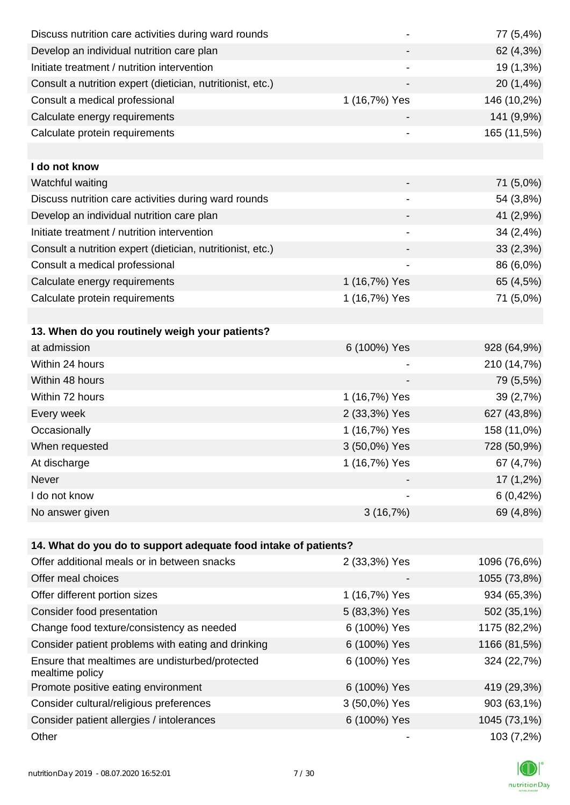| Discuss nutrition care activities during ward rounds            |                              | 77 (5,4%)    |
|-----------------------------------------------------------------|------------------------------|--------------|
| Develop an individual nutrition care plan                       |                              | 62 (4,3%)    |
| Initiate treatment / nutrition intervention                     |                              | 19 (1,3%)    |
| Consult a nutrition expert (dietician, nutritionist, etc.)      |                              | 20 (1,4%)    |
| Consult a medical professional                                  | 1 (16,7%) Yes                | 146 (10,2%)  |
| Calculate energy requirements                                   |                              | 141 (9,9%)   |
| Calculate protein requirements                                  |                              | 165 (11,5%)  |
|                                                                 |                              |              |
| I do not know                                                   |                              |              |
| Watchful waiting                                                |                              | 71 (5,0%)    |
| Discuss nutrition care activities during ward rounds            | $\qquad \qquad \blacksquare$ | 54 (3,8%)    |
| Develop an individual nutrition care plan                       |                              | 41 (2,9%)    |
| Initiate treatment / nutrition intervention                     |                              | 34 (2,4%)    |
| Consult a nutrition expert (dietician, nutritionist, etc.)      |                              | 33(2,3%)     |
| Consult a medical professional                                  |                              | 86 (6,0%)    |
| Calculate energy requirements                                   | 1 (16,7%) Yes                | 65 (4,5%)    |
| Calculate protein requirements                                  | 1 (16,7%) Yes                | 71 (5,0%)    |
|                                                                 |                              |              |
| 13. When do you routinely weigh your patients?                  |                              |              |
| at admission                                                    | 6 (100%) Yes                 | 928 (64,9%)  |
| Within 24 hours                                                 |                              | 210 (14,7%)  |
| Within 48 hours                                                 |                              | 79 (5,5%)    |
| Within 72 hours                                                 | 1 (16,7%) Yes                | 39 (2,7%)    |
| Every week                                                      | 2 (33,3%) Yes                | 627 (43,8%)  |
| Occasionally                                                    | 1 (16,7%) Yes                | 158 (11,0%)  |
| When requested                                                  | 3 (50,0%) Yes                | 728 (50,9%)  |
| At discharge                                                    | 1 (16,7%) Yes                | 67 (4,7%)    |
| Never                                                           |                              | 17 (1,2%)    |
| I do not know                                                   |                              | 6(0,42%)     |
| No answer given                                                 | 3(16,7%)                     | 69 (4,8%)    |
|                                                                 |                              |              |
| 14. What do you do to support adequate food intake of patients? |                              |              |
| Offer additional meals or in between snacks                     | 2 (33,3%) Yes                | 1096 (76,6%) |
| Offer meal choices                                              |                              | 1055 (73,8%) |
| Offer different portion sizes                                   | 1 (16,7%) Yes                | 934 (65,3%)  |
| Consider food presentation                                      | 5 (83,3%) Yes                | 502 (35,1%)  |
| Change food texture/consistency as needed                       | 6 (100%) Yes                 | 1175 (82,2%) |
| Consider patient problems with eating and drinking              | 6 (100%) Yes                 | 1166 (81,5%) |
|                                                                 |                              |              |

| Ensure that mealtimes are undisturbed/protected<br>mealtime policy | 6 (100%) Yes  | 324 (22,7%)  |
|--------------------------------------------------------------------|---------------|--------------|
| Promote positive eating environment                                | 6 (100%) Yes  | 419 (29,3%)  |
| Consider cultural/religious preferences                            | 3 (50,0%) Yes | 903 (63,1%)  |
| Consider patient allergies / intolerances                          | 6 (100%) Yes  | 1045 (73,1%) |
| Other                                                              |               | $103(7,2\%)$ |

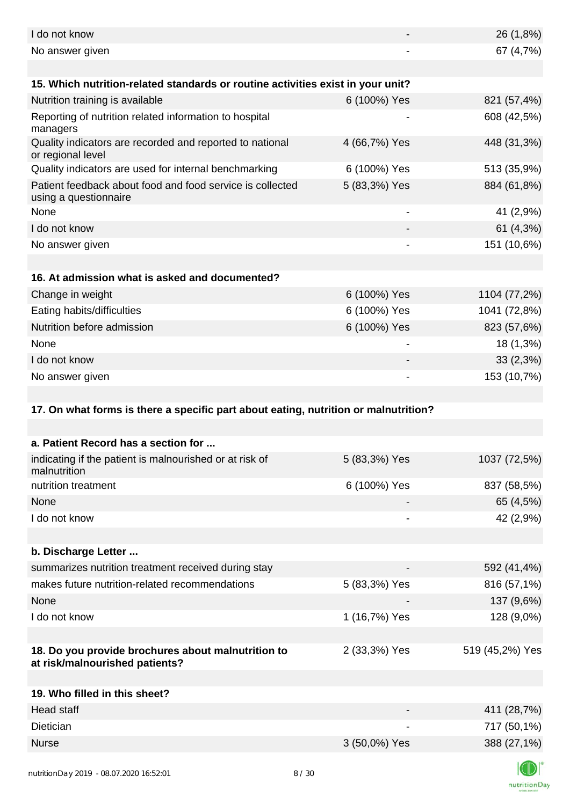| I do not know                                                                        |                              | 26 (1,8%)       |
|--------------------------------------------------------------------------------------|------------------------------|-----------------|
| No answer given                                                                      |                              | 67 (4,7%)       |
|                                                                                      |                              |                 |
| 15. Which nutrition-related standards or routine activities exist in your unit?      |                              |                 |
| Nutrition training is available                                                      | 6 (100%) Yes                 | 821 (57,4%)     |
| Reporting of nutrition related information to hospital<br>managers                   |                              | 608 (42,5%)     |
| Quality indicators are recorded and reported to national<br>or regional level        | 4 (66,7%) Yes                | 448 (31,3%)     |
| Quality indicators are used for internal benchmarking                                | 6 (100%) Yes                 | 513 (35,9%)     |
| Patient feedback about food and food service is collected<br>using a questionnaire   | 5 (83,3%) Yes                | 884 (61,8%)     |
| None                                                                                 |                              | 41 (2,9%)       |
| I do not know                                                                        |                              | 61(4,3%)        |
| No answer given                                                                      |                              | 151 (10,6%)     |
|                                                                                      |                              |                 |
| 16. At admission what is asked and documented?                                       |                              |                 |
| Change in weight                                                                     | 6 (100%) Yes                 | 1104 (77,2%)    |
| Eating habits/difficulties                                                           | 6 (100%) Yes                 | 1041 (72,8%)    |
| Nutrition before admission                                                           | 6 (100%) Yes                 | 823 (57,6%)     |
| None                                                                                 |                              | 18 (1,3%)       |
| I do not know                                                                        |                              | $33(2,3\%)$     |
| No answer given                                                                      |                              | 153 (10,7%)     |
|                                                                                      |                              |                 |
| 17. On what forms is there a specific part about eating, nutrition or malnutrition?  |                              |                 |
|                                                                                      |                              |                 |
| a. Patient Record has a section for                                                  |                              |                 |
| indicating if the patient is malnourished or at risk of<br>malnutrition              | 5 (83,3%) Yes                | 1037 (72,5%)    |
| nutrition treatment                                                                  | 6 (100%) Yes                 | 837 (58,5%)     |
| None                                                                                 |                              | 65 (4,5%)       |
| I do not know                                                                        | $\qquad \qquad \blacksquare$ | 42 (2,9%)       |
|                                                                                      |                              |                 |
| b. Discharge Letter                                                                  |                              |                 |
| summarizes nutrition treatment received during stay                                  |                              | 592 (41,4%)     |
|                                                                                      |                              |                 |
| makes future nutrition-related recommendations                                       | 5 (83,3%) Yes                | 816 (57,1%)     |
| None                                                                                 |                              | 137 (9,6%)      |
| I do not know                                                                        | 1 (16,7%) Yes                | 128 (9,0%)      |
|                                                                                      |                              |                 |
| 18. Do you provide brochures about malnutrition to<br>at risk/malnourished patients? | 2 (33,3%) Yes                | 519 (45,2%) Yes |
|                                                                                      |                              |                 |
| 19. Who filled in this sheet?                                                        |                              |                 |
| <b>Head staff</b>                                                                    |                              | 411 (28,7%)     |
| Dietician                                                                            |                              | 717 (50,1%)     |
| <b>Nurse</b>                                                                         | 3 (50,0%) Yes                | 388 (27,1%)     |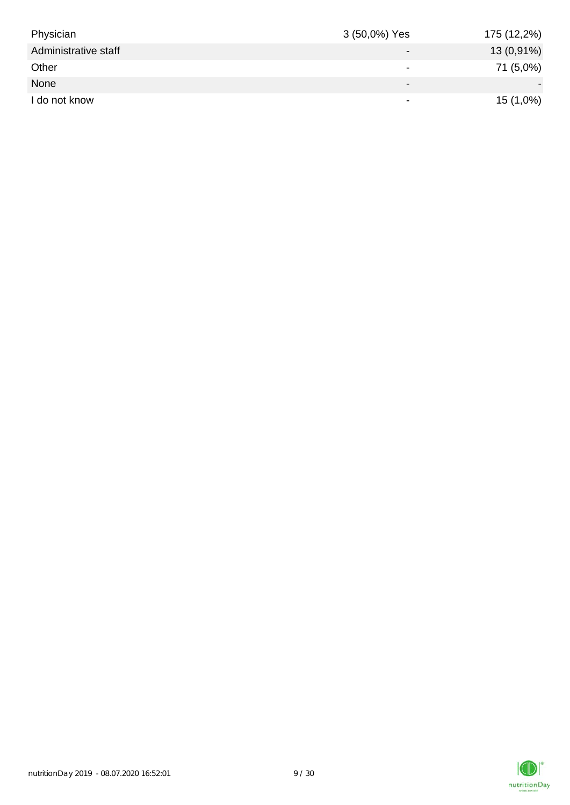| Physician            | 3 (50,0%) Yes            | 175 (12,2%)  |
|----------------------|--------------------------|--------------|
| Administrative staff | $\overline{\phantom{0}}$ | $13(0,91\%)$ |
| Other                | $\overline{\phantom{0}}$ | 71 (5,0%)    |
| None                 | $\overline{\phantom{0}}$ |              |
| I do not know        | $\overline{\phantom{0}}$ | $15(1,0\%)$  |

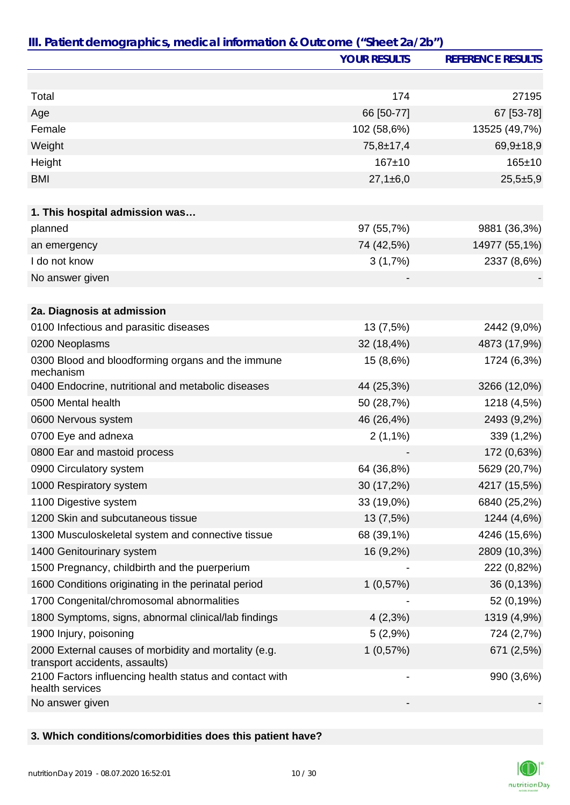|                                                                                         | <b>YOUR RESULTS</b>      | <b>REFERENCE RESULTS</b> |
|-----------------------------------------------------------------------------------------|--------------------------|--------------------------|
|                                                                                         |                          |                          |
| Total                                                                                   | 174                      | 27195                    |
| Age                                                                                     | 66 [50-77]               | 67 [53-78]               |
| Female                                                                                  | 102 (58,6%)              | 13525 (49,7%)            |
| Weight                                                                                  | $75,8 \pm 17,4$          | $69,9+18,9$              |
| Height                                                                                  | $167 + 10$               | $165 \pm 10$             |
| <b>BMI</b>                                                                              | $27,1\pm 6,0$            | $25,5+5,9$               |
|                                                                                         |                          |                          |
| 1. This hospital admission was                                                          |                          |                          |
| planned                                                                                 | 97 (55,7%)               | 9881 (36,3%)             |
| an emergency                                                                            | 74 (42,5%)               | 14977 (55,1%)            |
| I do not know                                                                           | 3(1,7%)                  | 2337 (8,6%)              |
| No answer given                                                                         |                          |                          |
|                                                                                         |                          |                          |
| 2a. Diagnosis at admission                                                              |                          |                          |
| 0100 Infectious and parasitic diseases                                                  | 13 (7,5%)                | 2442 (9,0%)              |
| 0200 Neoplasms                                                                          | 32 (18,4%)               | 4873 (17,9%)             |
| 0300 Blood and bloodforming organs and the immune<br>mechanism                          | 15 (8,6%)                | 1724 (6,3%)              |
| 0400 Endocrine, nutritional and metabolic diseases                                      | 44 (25,3%)               | 3266 (12,0%)             |
| 0500 Mental health                                                                      | 50 (28,7%)               | 1218 (4,5%)              |
| 0600 Nervous system                                                                     | 46 (26,4%)               | 2493 (9,2%)              |
| 0700 Eye and adnexa                                                                     | $2(1,1\%)$               | 339 (1,2%)               |
| 0800 Ear and mastoid process                                                            |                          | 172 (0,63%)              |
| 0900 Circulatory system                                                                 | 64 (36,8%)               | 5629 (20,7%)             |
| 1000 Respiratory system                                                                 | 30 (17,2%)               | 4217 (15,5%)             |
| 1100 Digestive system                                                                   | 33 (19,0%)               | 6840 (25,2%)             |
| 1200 Skin and subcutaneous tissue                                                       | 13 (7,5%)                | 1244 (4,6%)              |
| 1300 Musculoskeletal system and connective tissue                                       | 68 (39,1%)               | 4246 (15,6%)             |
| 1400 Genitourinary system                                                               | 16 (9,2%)                | 2809 (10,3%)             |
| 1500 Pregnancy, childbirth and the puerperium                                           |                          | 222 (0,82%)              |
| 1600 Conditions originating in the perinatal period                                     | 1(0,57%)                 | 36 (0,13%)               |
| 1700 Congenital/chromosomal abnormalities                                               |                          | 52 (0,19%)               |
| 1800 Symptoms, signs, abnormal clinical/lab findings                                    | $4(2,3\%)$               | 1319 (4,9%)              |
| 1900 Injury, poisoning                                                                  | 5(2,9%)                  | 724 (2,7%)               |
| 2000 External causes of morbidity and mortality (e.g.<br>transport accidents, assaults) | 1(0,57%)                 | 671 (2,5%)               |
| 2100 Factors influencing health status and contact with<br>health services              | $\overline{\phantom{a}}$ | 990 (3,6%)               |
| No answer given                                                                         |                          |                          |

### **3. Which conditions/comorbidities does this patient have?**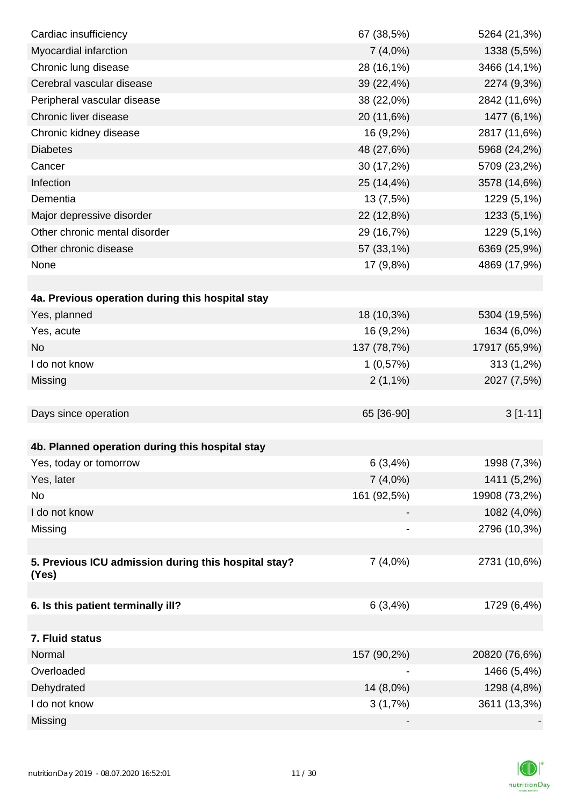| Cardiac insufficiency                                | 67 (38,5%)  | 5264 (21,3%)  |
|------------------------------------------------------|-------------|---------------|
| Myocardial infarction                                | $7(4,0\%)$  | 1338 (5,5%)   |
| Chronic lung disease                                 | 28 (16,1%)  | 3466 (14,1%)  |
| Cerebral vascular disease                            | 39 (22,4%)  | 2274 (9,3%)   |
| Peripheral vascular disease                          | 38 (22,0%)  | 2842 (11,6%)  |
| Chronic liver disease                                | 20 (11,6%)  | 1477 (6,1%)   |
| Chronic kidney disease                               | 16 (9,2%)   | 2817 (11,6%)  |
| <b>Diabetes</b>                                      | 48 (27,6%)  | 5968 (24,2%)  |
| Cancer                                               | 30 (17,2%)  | 5709 (23,2%)  |
| Infection                                            | 25 (14,4%)  | 3578 (14,6%)  |
| Dementia                                             | 13 (7,5%)   | 1229 (5,1%)   |
| Major depressive disorder                            | 22 (12,8%)  | 1233 (5,1%)   |
| Other chronic mental disorder                        | 29 (16,7%)  | 1229 (5,1%)   |
| Other chronic disease                                | 57 (33,1%)  | 6369 (25,9%)  |
| None                                                 | 17 (9,8%)   | 4869 (17,9%)  |
|                                                      |             |               |
| 4a. Previous operation during this hospital stay     |             |               |
| Yes, planned                                         | 18 (10,3%)  | 5304 (19,5%)  |
| Yes, acute                                           | 16 (9,2%)   | 1634 (6,0%)   |
| <b>No</b>                                            | 137 (78,7%) | 17917 (65,9%) |
| I do not know                                        | 1(0,57%)    | 313 (1,2%)    |
| Missing                                              | $2(1,1\%)$  | 2027 (7,5%)   |
|                                                      |             |               |
| Days since operation                                 | 65 [36-90]  | $3[1-11]$     |
|                                                      |             |               |
| 4b. Planned operation during this hospital stay      |             |               |
| Yes, today or tomorrow                               | 6(3,4%)     | 1998 (7,3%)   |
| Yes, later                                           | 7(4,0%)     | 1411 (5,2%)   |
| No                                                   | 161 (92,5%) | 19908 (73,2%) |
| I do not know                                        |             | 1082 (4,0%)   |
| Missing                                              |             | 2796 (10,3%)  |
|                                                      |             |               |
| 5. Previous ICU admission during this hospital stay? | 7(4,0%)     | 2731 (10,6%)  |
| (Yes)                                                |             |               |
|                                                      |             |               |
| 6. Is this patient terminally ill?                   | 6(3,4%)     | 1729 (6,4%)   |
|                                                      |             |               |
| 7. Fluid status                                      |             |               |
| Normal                                               | 157 (90,2%) | 20820 (76,6%) |
| Overloaded                                           |             | 1466 (5,4%)   |
| Dehydrated                                           | 14 (8,0%)   | 1298 (4,8%)   |
| I do not know                                        | 3(1,7%)     | 3611 (13,3%)  |
| Missing                                              |             |               |

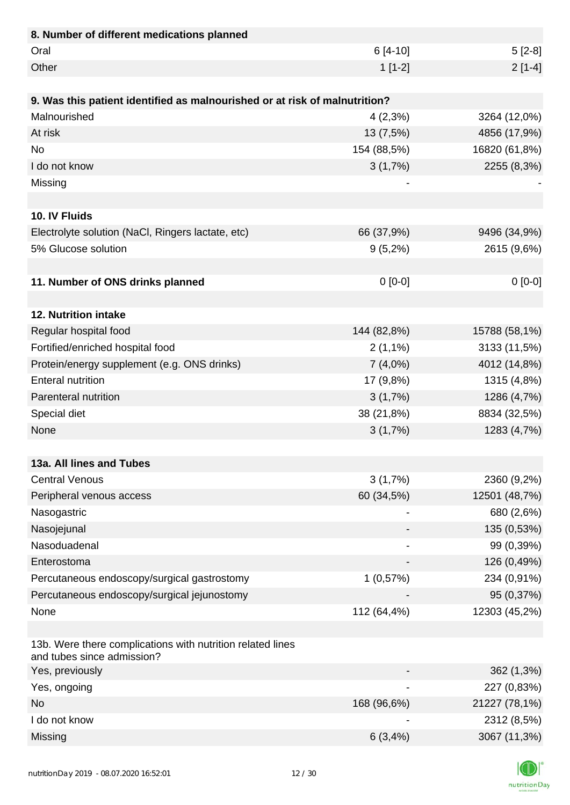| 8. Number of different medications planned                                               |                |               |
|------------------------------------------------------------------------------------------|----------------|---------------|
| Oral                                                                                     | $6[4-10]$      | $5[2-8]$      |
| Other                                                                                    | $1[1-2]$       | $2[1-4]$      |
|                                                                                          |                |               |
| 9. Was this patient identified as malnourished or at risk of malnutrition?               |                |               |
| Malnourished                                                                             | $4(2,3\%)$     | 3264 (12,0%)  |
| At risk                                                                                  | 13 (7,5%)      | 4856 (17,9%)  |
| <b>No</b>                                                                                | 154 (88,5%)    | 16820 (61,8%) |
| I do not know                                                                            | 3(1,7%)        | 2255 (8,3%)   |
| Missing                                                                                  |                |               |
|                                                                                          |                |               |
| 10. IV Fluids                                                                            |                |               |
| Electrolyte solution (NaCl, Ringers lactate, etc)                                        | 66 (37,9%)     | 9496 (34,9%)  |
| 5% Glucose solution                                                                      | $9(5,2\%)$     | 2615 (9,6%)   |
|                                                                                          |                |               |
| 11. Number of ONS drinks planned                                                         | $0[0-0]$       | $0[0-0]$      |
|                                                                                          |                |               |
| 12. Nutrition intake                                                                     |                |               |
| Regular hospital food                                                                    | 144 (82,8%)    | 15788 (58,1%) |
| Fortified/enriched hospital food                                                         | $2(1,1\%)$     | 3133 (11,5%)  |
| Protein/energy supplement (e.g. ONS drinks)                                              | 7(4,0%)        | 4012 (14,8%)  |
| <b>Enteral nutrition</b>                                                                 | 17 (9,8%)      | 1315 (4,8%)   |
| Parenteral nutrition                                                                     | 3(1,7%)        | 1286 (4,7%)   |
| Special diet                                                                             | 38 (21,8%)     | 8834 (32,5%)  |
| None                                                                                     | 3(1,7%)        | 1283 (4,7%)   |
|                                                                                          |                |               |
| 13a. All lines and Tubes                                                                 |                |               |
| <b>Central Venous</b>                                                                    | 3(1,7%)        | 2360 (9,2%)   |
| Peripheral venous access                                                                 | 60 (34,5%)     | 12501 (48,7%) |
| Nasogastric                                                                              | $\blacksquare$ | 680 (2,6%)    |
| Nasojejunal                                                                              |                | 135 (0,53%)   |
| Nasoduadenal                                                                             |                | 99 (0,39%)    |
| Enterostoma                                                                              |                | 126 (0,49%)   |
| Percutaneous endoscopy/surgical gastrostomy                                              | 1(0,57%)       | 234 (0,91%)   |
| Percutaneous endoscopy/surgical jejunostomy                                              |                | 95 (0,37%)    |
| None                                                                                     | 112 (64,4%)    | 12303 (45,2%) |
|                                                                                          |                |               |
| 13b. Were there complications with nutrition related lines<br>and tubes since admission? |                |               |
| Yes, previously                                                                          |                | 362 (1,3%)    |
| Yes, ongoing                                                                             |                | 227 (0,83%)   |
| <b>No</b>                                                                                | 168 (96,6%)    | 21227 (78,1%) |
| I do not know                                                                            |                | 2312 (8,5%)   |
| Missing                                                                                  | 6(3,4%)        | 3067 (11,3%)  |

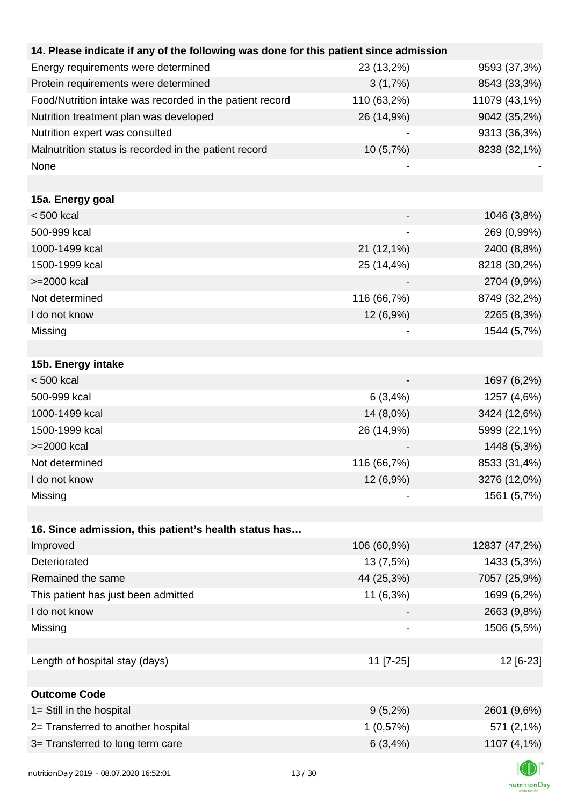| 14. Please indicate if any of the following was done for this patient since admission |             |               |
|---------------------------------------------------------------------------------------|-------------|---------------|
| Energy requirements were determined                                                   | 23 (13,2%)  | 9593 (37,3%)  |
| Protein requirements were determined                                                  | 3(1,7%)     | 8543 (33,3%)  |
| Food/Nutrition intake was recorded in the patient record                              | 110 (63,2%) | 11079 (43,1%) |
| Nutrition treatment plan was developed                                                | 26 (14,9%)  | 9042 (35,2%)  |
| Nutrition expert was consulted                                                        |             | 9313 (36,3%)  |
| Malnutrition status is recorded in the patient record                                 | 10 (5,7%)   | 8238 (32,1%)  |
| None                                                                                  |             |               |
|                                                                                       |             |               |
| 15a. Energy goal                                                                      |             |               |
| $< 500$ kcal                                                                          |             | 1046 (3,8%)   |
| 500-999 kcal                                                                          |             | 269 (0,99%)   |
| 1000-1499 kcal                                                                        | 21 (12,1%)  | 2400 (8,8%)   |
| 1500-1999 kcal                                                                        | 25 (14,4%)  | 8218 (30,2%)  |
| >=2000 kcal                                                                           |             | 2704 (9,9%)   |
| Not determined                                                                        | 116 (66,7%) | 8749 (32,2%)  |
| I do not know                                                                         | 12 (6,9%)   | 2265 (8,3%)   |
| Missing                                                                               |             | 1544 (5,7%)   |
|                                                                                       |             |               |
| 15b. Energy intake                                                                    |             |               |
| $< 500$ kcal                                                                          |             | 1697 (6,2%)   |
| 500-999 kcal                                                                          | 6(3,4%)     | 1257 (4,6%)   |
| 1000-1499 kcal                                                                        | 14 (8,0%)   | 3424 (12,6%)  |
| 1500-1999 kcal                                                                        | 26 (14,9%)  | 5999 (22,1%)  |
| >=2000 kcal                                                                           |             | 1448 (5,3%)   |
| Not determined                                                                        | 116 (66,7%) | 8533 (31,4%)  |
| I do not know                                                                         | 12 (6,9%)   | 3276 (12,0%)  |
| Missing                                                                               |             | 1561 (5,7%)   |
|                                                                                       |             |               |
| 16. Since admission, this patient's health status has                                 |             |               |
| Improved                                                                              | 106 (60,9%) | 12837 (47,2%) |
| Deteriorated                                                                          | 13 (7,5%)   | 1433 (5,3%)   |
| Remained the same                                                                     | 44 (25,3%)  | 7057 (25,9%)  |
| This patient has just been admitted                                                   | 11 (6,3%)   | 1699 (6,2%)   |
| I do not know                                                                         |             | 2663 (9,8%)   |
| Missing                                                                               |             | 1506 (5,5%)   |
|                                                                                       |             |               |
| Length of hospital stay (days)                                                        | 11 [7-25]   | 12 [6-23]     |
|                                                                                       |             |               |
| <b>Outcome Code</b>                                                                   |             |               |
| 1= Still in the hospital                                                              | $9(5,2\%)$  | 2601 (9,6%)   |
| 2= Transferred to another hospital                                                    | 1(0,57%)    | 571 (2,1%)    |
| 3= Transferred to long term care                                                      | 6(3,4%)     | 1107 (4,1%)   |
|                                                                                       |             |               |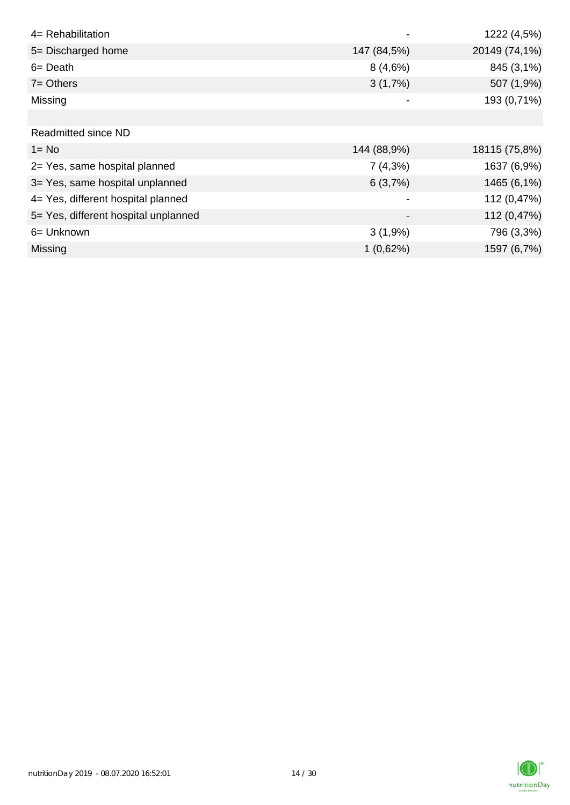| 4= Rehabilitation                    |             | 1222 (4,5%)   |
|--------------------------------------|-------------|---------------|
| 5= Discharged home                   | 147 (84,5%) | 20149 (74,1%) |
| $6 = Death$                          | 8(4,6%)     | 845 (3,1%)    |
| $7 =$ Others                         | 3(1,7%)     | 507 (1,9%)    |
| Missing                              |             | 193 (0,71%)   |
|                                      |             |               |
| <b>Readmitted since ND</b>           |             |               |
| $1 = No$                             | 144 (88,9%) | 18115 (75,8%) |
| 2= Yes, same hospital planned        | 7(4,3%)     | 1637 (6,9%)   |
| 3= Yes, same hospital unplanned      | 6(3,7%)     | 1465 (6,1%)   |
| 4= Yes, different hospital planned   |             | 112 (0,47%)   |
| 5= Yes, different hospital unplanned |             | 112 (0,47%)   |
| 6= Unknown                           | 3(1,9%)     | 796 (3,3%)    |
| Missing                              | 1(0,62%)    | 1597 (6,7%)   |

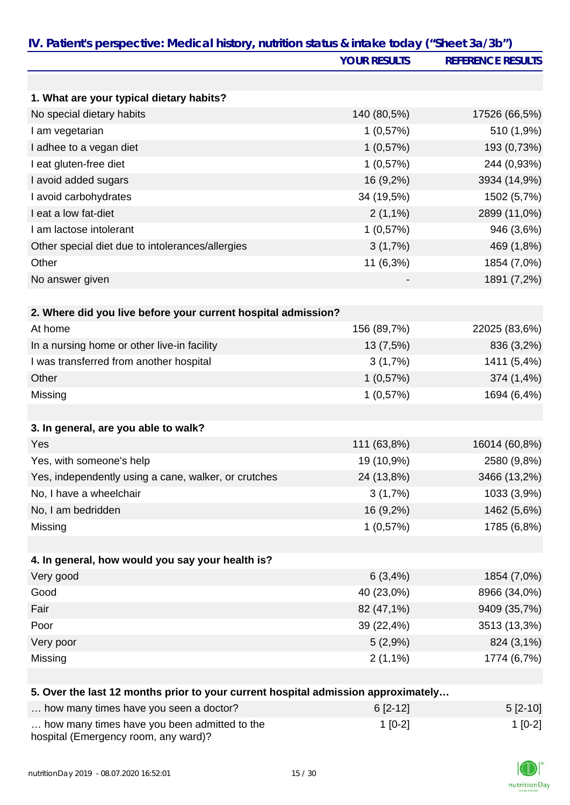|                                                                                   | <b>YOUR RESULTS</b>   | <b>REFERENCE RESULTS</b>    |
|-----------------------------------------------------------------------------------|-----------------------|-----------------------------|
|                                                                                   |                       |                             |
| 1. What are your typical dietary habits?                                          |                       |                             |
| No special dietary habits                                                         | 140 (80,5%)           | 17526 (66,5%)               |
| I am vegetarian                                                                   | 1(0,57%)              | 510 (1,9%)                  |
| I adhee to a vegan diet                                                           | 1(0,57%)              | 193 (0,73%)                 |
| I eat gluten-free diet                                                            | 1(0,57%)              | 244 (0,93%)                 |
| I avoid added sugars                                                              | 16 (9,2%)             | 3934 (14,9%)                |
| I avoid carbohydrates                                                             | 34 (19,5%)            | 1502 (5,7%)                 |
| I eat a low fat-diet                                                              | $2(1,1\%)$            | 2899 (11,0%)                |
| I am lactose intolerant                                                           | 1(0,57%)              | 946 (3,6%)                  |
| Other special diet due to intolerances/allergies                                  | 3(1,7%)               | 469 (1,8%)                  |
| Other                                                                             | 11 (6,3%)             | 1854 (7,0%)                 |
| No answer given                                                                   |                       | 1891 (7,2%)                 |
|                                                                                   |                       |                             |
| 2. Where did you live before your current hospital admission?<br>At home          | 156 (89,7%)           | 22025 (83,6%)               |
|                                                                                   |                       |                             |
| In a nursing home or other live-in facility                                       | 13 (7,5%)             | 836 (3,2%)                  |
| I was transferred from another hospital                                           | 3(1,7%)               | 1411 (5,4%)                 |
| Other                                                                             | 1(0,57%)              | 374 (1,4%)                  |
| Missing                                                                           | 1(0,57%)              | 1694 (6,4%)                 |
| 3. In general, are you able to walk?                                              |                       |                             |
| Yes                                                                               | 111 (63,8%)           | 16014 (60,8%)               |
| Yes, with someone's help                                                          | 19 (10,9%)            | 2580 (9,8%)                 |
| Yes, independently using a cane, walker, or crutches                              | 24 (13,8%)            | 3466 (13,2%)                |
| No, I have a wheelchair                                                           | 3(1,7%)               | 1033 (3,9%)                 |
| No, I am bedridden                                                                | 16 (9,2%)             | 1462 (5,6%)                 |
| Missing                                                                           | 1(0,57%)              | 1785 (6,8%)                 |
| 4. In general, how would you say your health is?                                  |                       |                             |
| Very good                                                                         |                       |                             |
| Good                                                                              | 6(3,4%)<br>40 (23,0%) | 1854 (7,0%)<br>8966 (34,0%) |
| Fair                                                                              |                       |                             |
| Poor                                                                              | 82 (47,1%)            | 9409 (35,7%)                |
|                                                                                   | 39 (22,4%)            | 3513 (13,3%)                |
| Very poor                                                                         | 5(2,9%)               | 824 (3,1%)                  |
| Missing                                                                           | $2(1,1\%)$            | 1774 (6,7%)                 |
| 5. Over the last 12 months prior to your current hospital admission approximately |                       |                             |
| how many times have you seen a doctor?                                            | $6[2-12]$             | $5[2-10]$                   |
| how many times have you been admitted to the                                      | $1[0-2]$              | $1[0-2]$                    |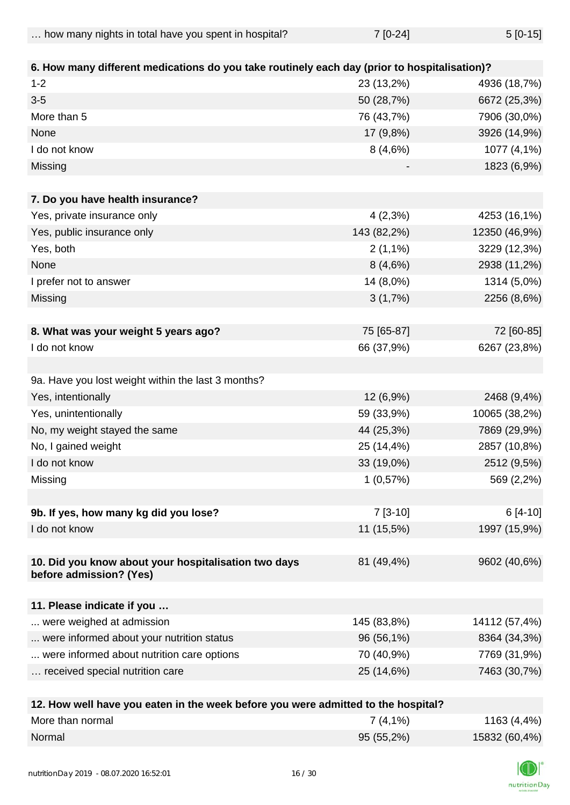| how many nights in total have you spent in hospital? | $7 [0-24]$ | $5[0-15]$ |
|------------------------------------------------------|------------|-----------|
|                                                      |            |           |

| 6. How many different medications do you take routinely each day (prior to hospitalisation)? |             |               |
|----------------------------------------------------------------------------------------------|-------------|---------------|
| $1 - 2$                                                                                      | 23 (13,2%)  | 4936 (18,7%)  |
| $3-5$                                                                                        | 50 (28,7%)  | 6672 (25,3%)  |
| More than 5                                                                                  | 76 (43,7%)  | 7906 (30,0%)  |
| None                                                                                         | 17 (9,8%)   | 3926 (14,9%)  |
| I do not know                                                                                | 8(4,6%)     | 1077 (4,1%)   |
| Missing                                                                                      |             | 1823 (6,9%)   |
|                                                                                              |             |               |
| 7. Do you have health insurance?                                                             |             |               |
| Yes, private insurance only                                                                  | 4(2,3%)     | 4253 (16,1%)  |
| Yes, public insurance only                                                                   | 143 (82,2%) | 12350 (46,9%) |
| Yes, both                                                                                    | $2(1,1\%)$  | 3229 (12,3%)  |
| None                                                                                         | 8(4,6%)     | 2938 (11,2%)  |
| I prefer not to answer                                                                       | 14 (8,0%)   | 1314 (5,0%)   |
| Missing                                                                                      | 3(1,7%)     | 2256 (8,6%)   |
|                                                                                              |             |               |
| 8. What was your weight 5 years ago?                                                         | 75 [65-87]  | 72 [60-85]    |
| I do not know                                                                                | 66 (37,9%)  | 6267 (23,8%)  |
|                                                                                              |             |               |
| 9a. Have you lost weight within the last 3 months?                                           |             |               |
| Yes, intentionally                                                                           | 12 (6,9%)   | 2468 (9,4%)   |
| Yes, unintentionally                                                                         | 59 (33,9%)  | 10065 (38,2%) |
| No, my weight stayed the same                                                                | 44 (25,3%)  | 7869 (29,9%)  |
| No, I gained weight                                                                          | 25 (14,4%)  | 2857 (10,8%)  |
| I do not know                                                                                | 33 (19,0%)  | 2512 (9,5%)   |
| Missing                                                                                      | 1(0,57%)    | 569 (2,2%)    |
|                                                                                              |             |               |
| 9b. If yes, how many kg did you lose?                                                        | $7[3-10]$   | $6[4-10]$     |
| I do not know                                                                                | 11 (15,5%)  | 1997 (15,9%)  |
|                                                                                              |             |               |
| 10. Did you know about your hospitalisation two days                                         | 81 (49,4%)  | 9602 (40,6%)  |
| before admission? (Yes)                                                                      |             |               |
| 11. Please indicate if you                                                                   |             |               |
| were weighed at admission                                                                    | 145 (83,8%) | 14112 (57,4%) |
| were informed about your nutrition status                                                    | 96 (56,1%)  | 8364 (34,3%)  |
| were informed about nutrition care options                                                   | 70 (40,9%)  | 7769 (31,9%)  |
| received special nutrition care                                                              | 25 (14,6%)  | 7463 (30,7%)  |
|                                                                                              |             |               |
| 12 How well have you eaten in the week before you were admitted to the hospital?             |             |               |

| <b>IZ. HOW WER HAVE YOU CAIGH IN LIFE WEEK DEIDLE YOU WELF AUTHILIEU IO LIFE HOSPILAL</b> : |            |               |
|---------------------------------------------------------------------------------------------|------------|---------------|
| More than normal                                                                            | $7(4,1\%)$ | 1163 (4,4%)   |
| Normal                                                                                      | 95(55,2%)  | 15832 (60,4%) |

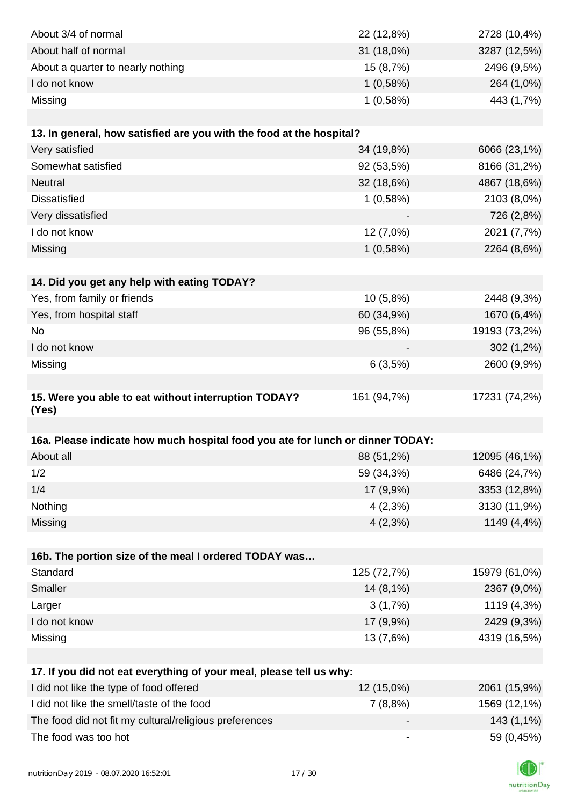| About 3/4 of normal                                                            | 22 (12,8%)                   | 2728 (10,4%)  |
|--------------------------------------------------------------------------------|------------------------------|---------------|
| About half of normal                                                           | 31 (18,0%)                   | 3287 (12,5%)  |
| About a quarter to nearly nothing                                              | 15 (8,7%)                    | 2496 (9,5%)   |
| I do not know                                                                  | 1(0,58%)                     | 264 (1,0%)    |
| Missing                                                                        | 1(0,58%)                     | 443 (1,7%)    |
|                                                                                |                              |               |
| 13. In general, how satisfied are you with the food at the hospital?           |                              |               |
| Very satisfied                                                                 | 34 (19,8%)                   | 6066 (23,1%)  |
| Somewhat satisfied                                                             | 92 (53,5%)                   | 8166 (31,2%)  |
| Neutral                                                                        | 32 (18,6%)                   | 4867 (18,6%)  |
| <b>Dissatisfied</b>                                                            | 1(0,58%)                     | 2103 (8,0%)   |
| Very dissatisfied                                                              |                              | 726 (2,8%)    |
| I do not know                                                                  | 12 (7,0%)                    | 2021 (7,7%)   |
| Missing                                                                        | 1(0,58%)                     | 2264 (8,6%)   |
|                                                                                |                              |               |
| 14. Did you get any help with eating TODAY?                                    |                              |               |
| Yes, from family or friends                                                    | 10 (5,8%)                    | 2448 (9,3%)   |
| Yes, from hospital staff                                                       | 60 (34,9%)                   | 1670 (6,4%)   |
| No                                                                             | 96 (55,8%)                   | 19193 (73,2%) |
| I do not know                                                                  |                              | 302 (1,2%)    |
| Missing                                                                        | 6(3,5%)                      | 2600 (9,9%)   |
|                                                                                |                              |               |
| 15. Were you able to eat without interruption TODAY?<br>(Yes)                  | 161 (94,7%)                  | 17231 (74,2%) |
|                                                                                |                              |               |
| 16a. Please indicate how much hospital food you ate for lunch or dinner TODAY: |                              |               |
| About all                                                                      | 88 (51,2%)                   | 12095 (46,1%) |
| 1/2                                                                            | 59 (34,3%)                   | 6486 (24,7%)  |
| 1/4                                                                            | 17 (9,9%)                    | 3353 (12,8%)  |
| Nothing                                                                        | $4(2,3\%)$                   | 3130 (11,9%)  |
| Missing                                                                        | $4(2,3\%)$                   | 1149 (4,4%)   |
|                                                                                |                              |               |
| 16b. The portion size of the meal I ordered TODAY was                          |                              |               |
| Standard                                                                       | 125 (72,7%)                  | 15979 (61,0%) |
| Smaller                                                                        | 14 (8,1%)                    | 2367 (9,0%)   |
| Larger                                                                         | 3(1,7%)                      | 1119 (4,3%)   |
| I do not know                                                                  | 17 (9,9%)                    | 2429 (9,3%)   |
| Missing                                                                        | 13 (7,6%)                    | 4319 (16,5%)  |
|                                                                                |                              |               |
| 17. If you did not eat everything of your meal, please tell us why:            |                              |               |
| I did not like the type of food offered                                        | 12 (15,0%)                   | 2061 (15,9%)  |
| I did not like the smell/taste of the food                                     | 7(8,8%)                      | 1569 (12,1%)  |
| The food did not fit my cultural/religious preferences                         |                              | 143 (1,1%)    |
| The food was too hot                                                           | $\qquad \qquad \blacksquare$ | 59 (0,45%)    |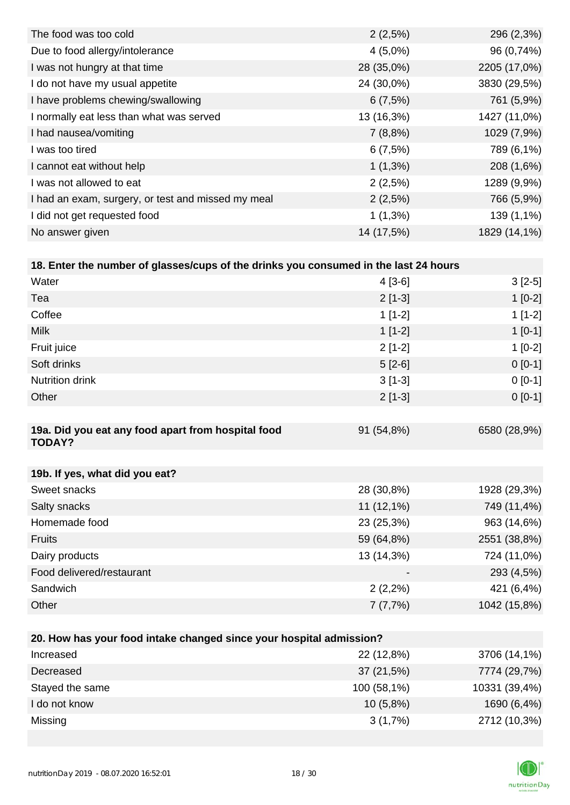| 2(2,5%)    | 296 (2,3%)   |
|------------|--------------|
| $4(5,0\%)$ | 96 (0,74%)   |
| 28 (35,0%) | 2205 (17,0%) |
| 24 (30,0%) | 3830 (29,5%) |
| 6(7,5%)    | 761 (5,9%)   |
| 13 (16,3%) | 1427 (11,0%) |
| 7(8,8%)    | 1029 (7,9%)  |
| 6(7,5%)    | 789 (6,1%)   |
| $1(1,3\%)$ | 208 (1,6%)   |
| 2(2,5%)    | 1289 (9,9%)  |
| 2(2,5%)    | 766 (5,9%)   |
| $1(1,3\%)$ | 139 (1,1%)   |
| 14 (17,5%) | 1829 (14,1%) |
|            |              |

| 18. Enter the number of glasses/cups of the drinks you consumed in the last 24 hours |            |              |
|--------------------------------------------------------------------------------------|------------|--------------|
| Water                                                                                | $4$ [3-6]  | $3[2-5]$     |
| Tea                                                                                  | $2[1-3]$   | $1[0-2]$     |
| Coffee                                                                               | $1[1-2]$   | $1[1-2]$     |
| <b>Milk</b>                                                                          | $1[1-2]$   | $1[0-1]$     |
| Fruit juice                                                                          | $2[1-2]$   | $1[0-2]$     |
| Soft drinks                                                                          | $5[2-6]$   | $0[0-1]$     |
| <b>Nutrition drink</b>                                                               | $3[1-3]$   | $0[0-1]$     |
| Other                                                                                | $2[1-3]$   | $0[0-1]$     |
|                                                                                      |            |              |
| 19a. Did you eat any food apart from hospital food<br><b>TODAY?</b>                  | 91 (54,8%) | 6580 (28,9%) |
|                                                                                      |            |              |
| 19b. If yes, what did you eat?                                                       |            |              |

| Sweet snacks              | 28 (30,8%)   | 1928 (29,3%) |
|---------------------------|--------------|--------------|
| Salty snacks              | $11(12,1\%)$ | 749 (11,4%)  |
| Homemade food             | 23 (25,3%)   | 963 (14,6%)  |
| <b>Fruits</b>             | 59 (64,8%)   | 2551 (38,8%) |
| Dairy products            | 13 (14,3%)   | 724 (11,0%)  |
| Food delivered/restaurant | -            | 293 (4,5%)   |
| Sandwich                  | $2(2,2\%)$   | 421 (6,4%)   |
| Other                     | 7(7,7%)      | 1042 (15,8%) |

| 20. How has your food intake changed since your hospital admission? |             |               |  |
|---------------------------------------------------------------------|-------------|---------------|--|
| Increased                                                           | 22 (12,8%)  | 3706 (14,1%)  |  |
| Decreased                                                           | 37(21,5%)   | 7774 (29,7%)  |  |
| Stayed the same                                                     | 100 (58,1%) | 10331 (39,4%) |  |
| I do not know                                                       | $10(5,8\%)$ | 1690 (6,4%)   |  |
| Missing                                                             | $3(1,7\%)$  | 2712 (10,3%)  |  |

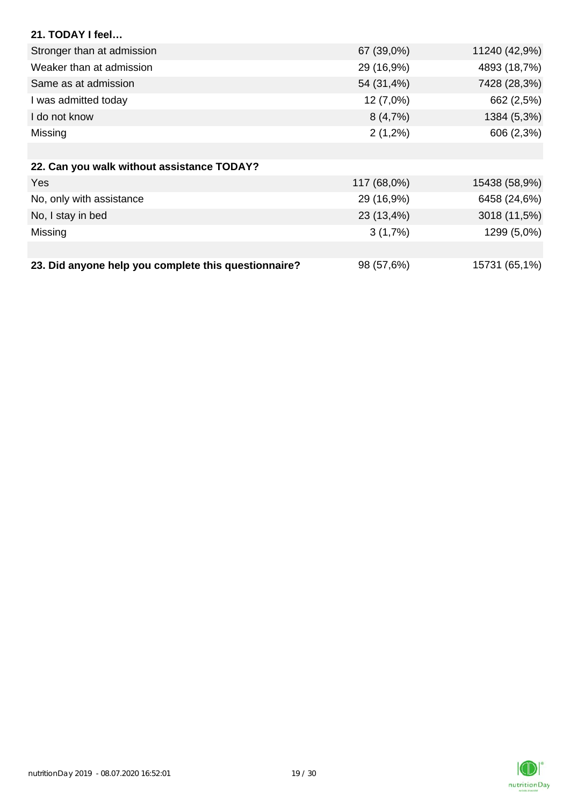| 21. TODAY I feel                                     |             |               |
|------------------------------------------------------|-------------|---------------|
| Stronger than at admission                           | 67 (39,0%)  | 11240 (42,9%) |
| Weaker than at admission                             | 29 (16,9%)  | 4893 (18,7%)  |
| Same as at admission                                 | 54 (31,4%)  | 7428 (28,3%)  |
| I was admitted today                                 | 12 (7,0%)   | 662 (2,5%)    |
| I do not know                                        | 8(4,7%)     | 1384 (5,3%)   |
| Missing                                              | $2(1,2\%)$  | 606 (2,3%)    |
|                                                      |             |               |
| 22. Can you walk without assistance TODAY?           |             |               |
| Yes                                                  | 117 (68,0%) | 15438 (58,9%) |
| No, only with assistance                             | 29 (16,9%)  | 6458 (24,6%)  |
| No, I stay in bed                                    | 23 (13,4%)  | 3018 (11,5%)  |
| Missing                                              | 3(1,7%)     | 1299 (5,0%)   |
|                                                      |             |               |
| 23. Did anyone help you complete this questionnaire? | 98 (57,6%)  | 15731 (65,1%) |

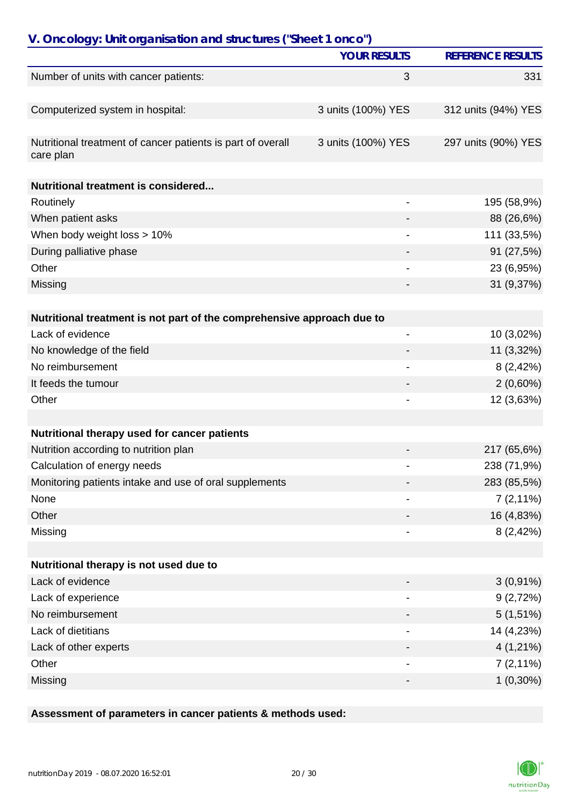| V. Oncology: Unit organisation and structures ("Sheet 1 onco")           |                          |                          |
|--------------------------------------------------------------------------|--------------------------|--------------------------|
|                                                                          | <b>YOUR RESULTS</b>      | <b>REFERENCE RESULTS</b> |
| Number of units with cancer patients:                                    | 3                        | 331                      |
|                                                                          |                          |                          |
| Computerized system in hospital:                                         | 3 units (100%) YES       | 312 units (94%) YES      |
| Nutritional treatment of cancer patients is part of overall<br>care plan | 3 units (100%) YES       | 297 units (90%) YES      |
| Nutritional treatment is considered                                      |                          |                          |
| Routinely                                                                |                          | 195 (58,9%)              |
| When patient asks                                                        |                          | 88 (26,6%)               |
| When body weight loss > 10%                                              |                          | 111 (33,5%)              |
| During palliative phase                                                  |                          | 91 (27,5%)               |
| Other                                                                    |                          | 23 (6,95%)               |
| Missing                                                                  |                          | 31 (9,37%)               |
|                                                                          |                          |                          |
| Nutritional treatment is not part of the comprehensive approach due to   |                          |                          |
| Lack of evidence                                                         | $\overline{\phantom{0}}$ | 10 (3,02%)               |
| No knowledge of the field                                                |                          | 11 (3,32%)               |
| No reimbursement                                                         |                          | 8(2,42%)                 |
| It feeds the tumour                                                      |                          | $2(0,60\%)$              |
| Other                                                                    |                          | 12 (3,63%)               |
| Nutritional therapy used for cancer patients                             |                          |                          |
|                                                                          |                          |                          |
| Nutrition according to nutrition plan                                    |                          | 217 (65,6%)              |
| Calculation of energy needs                                              |                          | 238 (71,9%)              |
| Monitoring patients intake and use of oral supplements                   |                          | 283 (85,5%)              |
| None                                                                     |                          | $7(2,11\%)$              |
| Other                                                                    |                          | 16 (4,83%)               |
| Missing                                                                  |                          | 8(2,42%)                 |
| Nutritional therapy is not used due to                                   |                          |                          |
| Lack of evidence                                                         |                          | $3(0,91\%)$              |
| Lack of experience                                                       |                          | 9(2,72%)                 |
| No reimbursement                                                         |                          | $5(1,51\%)$              |
| Lack of dietitians                                                       |                          | 14 (4,23%)               |
| Lack of other experts                                                    |                          | $4(1,21\%)$              |
| Other                                                                    |                          | $7(2,11\%)$              |
| Missing                                                                  |                          | $1(0,30\%)$              |

### **Assessment of parameters in cancer patients & methods used:**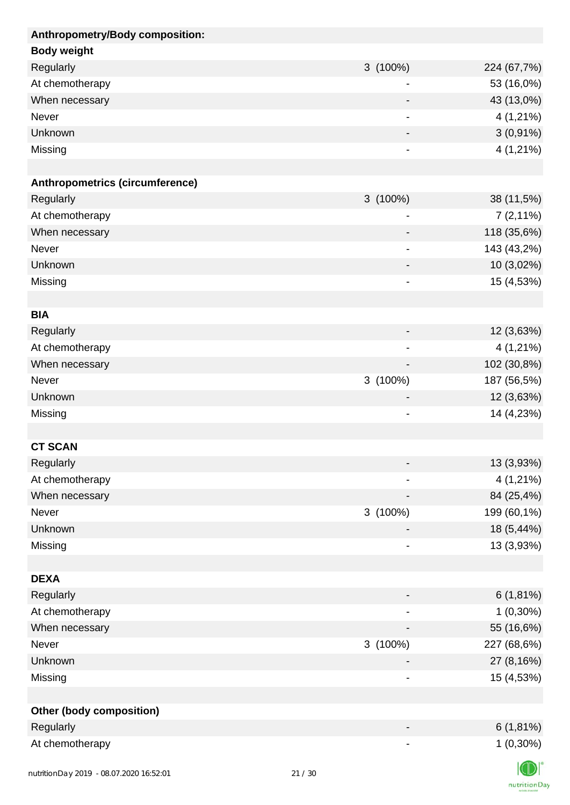| Anthropometry/Body composition: |                              |             |
|---------------------------------|------------------------------|-------------|
| <b>Body weight</b>              |                              |             |
| Regularly                       | $3(100\%)$                   | 224 (67,7%) |
| At chemotherapy                 |                              | 53 (16,0%)  |
| When necessary                  |                              | 43 (13,0%)  |
| Never                           | $\overline{a}$               | 4 (1,21%)   |
| Unknown                         |                              | $3(0,91\%)$ |
| Missing                         | $\qquad \qquad \blacksquare$ | $4(1,21\%)$ |
|                                 |                              |             |
| Anthropometrics (circumference) |                              |             |
| Regularly                       | $3(100\%)$                   | 38 (11,5%)  |
| At chemotherapy                 |                              | $7(2,11\%)$ |
| When necessary                  |                              | 118 (35,6%) |
| <b>Never</b>                    | $\qquad \qquad \blacksquare$ | 143 (43,2%) |
| Unknown                         |                              | 10 (3,02%)  |
| Missing                         | $\qquad \qquad \blacksquare$ | 15 (4,53%)  |
|                                 |                              |             |
| <b>BIA</b>                      |                              |             |
| Regularly                       |                              | 12 (3,63%)  |
| At chemotherapy                 | $\overline{\phantom{a}}$     | $4(1,21\%)$ |
| When necessary                  |                              | 102 (30,8%) |
| Never                           | 3 (100%)                     | 187 (56,5%) |
| Unknown                         |                              | 12 (3,63%)  |
| Missing                         | $\qquad \qquad \blacksquare$ | 14 (4,23%)  |
|                                 |                              |             |
| <b>CT SCAN</b>                  |                              |             |
| Regularly                       |                              | 13 (3,93%)  |
| At chemotherapy                 |                              | 4 (1,21%)   |
| When necessary                  |                              | 84 (25,4%)  |
| Never                           | 3 (100%)                     | 199 (60,1%) |
| Unknown                         |                              |             |
|                                 |                              | 18 (5,44%)  |
| Missing                         | $\qquad \qquad \blacksquare$ | 13 (3,93%)  |
|                                 |                              |             |
| <b>DEXA</b>                     |                              |             |
| Regularly                       | -                            | $6(1,81\%)$ |
| At chemotherapy                 |                              | $1(0,30\%)$ |
| When necessary                  |                              | 55 (16,6%)  |
| Never                           | 3 (100%)                     | 227 (68,6%) |
| Unknown                         |                              | 27 (8,16%)  |
| Missing                         | $\qquad \qquad \blacksquare$ | 15 (4,53%)  |
|                                 |                              |             |
| <b>Other (body composition)</b> |                              |             |
| Regularly                       |                              | $6(1,81\%)$ |
| At chemotherapy                 |                              | $1(0,30\%)$ |
|                                 |                              | $\sqrt{2}$  |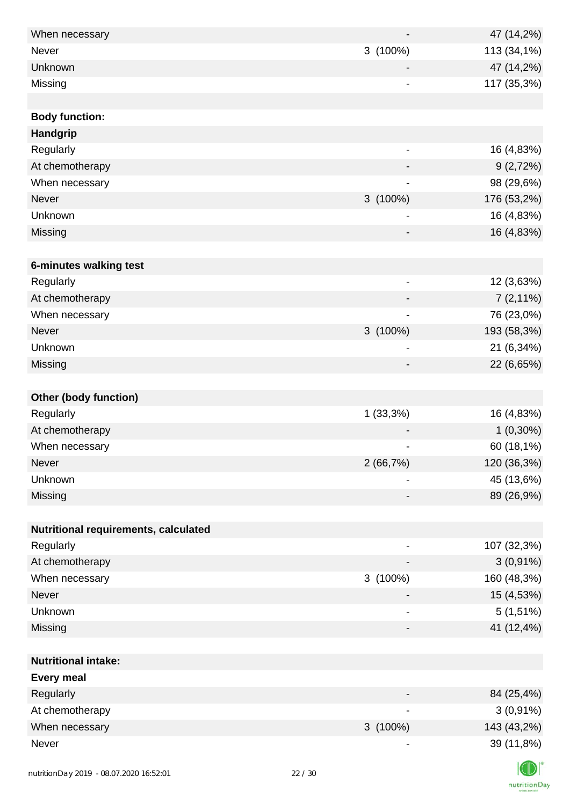| When necessary                          |       |                              | 47 (14,2%)  |
|-----------------------------------------|-------|------------------------------|-------------|
| <b>Never</b>                            |       | 3(100%)                      | 113 (34,1%) |
| Unknown                                 |       |                              | 47 (14,2%)  |
| Missing                                 |       | $\overline{\phantom{a}}$     | 117 (35,3%) |
|                                         |       |                              |             |
| <b>Body function:</b>                   |       |                              |             |
| Handgrip                                |       |                              |             |
| Regularly                               |       | $\overline{\phantom{a}}$     | 16 (4,83%)  |
| At chemotherapy                         |       |                              | 9(2,72%)    |
| When necessary                          |       |                              | 98 (29,6%)  |
| Never                                   |       | $3(100\%)$                   | 176 (53,2%) |
| Unknown                                 |       | -                            | 16 (4,83%)  |
| Missing                                 |       |                              | 16 (4,83%)  |
|                                         |       |                              |             |
| 6-minutes walking test                  |       |                              |             |
| Regularly                               |       | $\overline{\phantom{a}}$     | 12 (3,63%)  |
| At chemotherapy                         |       |                              | $7(2,11\%)$ |
| When necessary                          |       |                              | 76 (23,0%)  |
| Never                                   |       | 3 (100%)                     | 193 (58,3%) |
| Unknown                                 |       | $\qquad \qquad \blacksquare$ | 21 (6,34%)  |
| Missing                                 |       | $\overline{\phantom{a}}$     | 22 (6,65%)  |
|                                         |       |                              |             |
| <b>Other (body function)</b>            |       |                              |             |
| Regularly                               |       | $1(33,3\%)$                  | 16 (4,83%)  |
| At chemotherapy                         |       |                              | $1(0,30\%)$ |
| When necessary                          |       | -                            | 60 (18,1%)  |
| Never                                   |       | 2(66,7%)                     | 120 (36,3%) |
| Unknown                                 |       | $\overline{\phantom{a}}$     | 45 (13,6%)  |
| Missing                                 |       | -                            | 89 (26,9%)  |
|                                         |       |                              |             |
| Nutritional requirements, calculated    |       |                              |             |
| Regularly                               |       |                              | 107 (32,3%) |
| At chemotherapy                         |       |                              | $3(0,91\%)$ |
| When necessary                          |       | 3 (100%)                     | 160 (48,3%) |
| Never                                   |       |                              | 15 (4,53%)  |
| Unknown                                 |       | $\overline{\phantom{a}}$     | $5(1,51\%)$ |
| Missing                                 |       | -                            | 41 (12,4%)  |
|                                         |       |                              |             |
| <b>Nutritional intake:</b>              |       |                              |             |
| <b>Every meal</b>                       |       |                              |             |
| Regularly                               |       |                              | 84 (25,4%)  |
| At chemotherapy                         |       |                              | $3(0,91\%)$ |
| When necessary                          |       | $3(100\%)$                   | 143 (43,2%) |
| Never                                   |       | $\overline{\phantom{a}}$     | 39 (11,8%)  |
|                                         |       |                              |             |
| nutritionDay 2019 - 08.07.2020 16:52:01 | 22/30 |                              |             |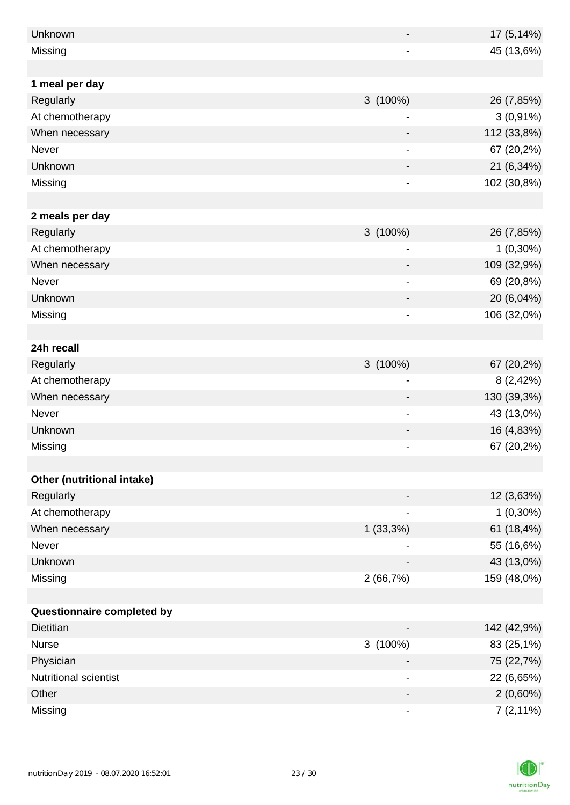| Unknown                    |                              | 17 (5,14%)  |
|----------------------------|------------------------------|-------------|
| Missing                    |                              | 45 (13,6%)  |
|                            |                              |             |
| 1 meal per day             |                              |             |
| Regularly                  | 3 (100%)                     | 26 (7,85%)  |
| At chemotherapy            | -                            | $3(0,91\%)$ |
| When necessary             |                              | 112 (33,8%) |
| Never                      | -                            | 67 (20,2%)  |
| Unknown                    |                              | 21 (6,34%)  |
| Missing                    | $\overline{\phantom{0}}$     | 102 (30,8%) |
|                            |                              |             |
| 2 meals per day            |                              |             |
| Regularly                  | $3(100\%)$                   | 26 (7,85%)  |
| At chemotherapy            |                              | $1(0,30\%)$ |
| When necessary             |                              | 109 (32,9%) |
| Never                      |                              | 69 (20,8%)  |
| Unknown                    |                              | 20 (6,04%)  |
| Missing                    | $\blacksquare$               | 106 (32,0%) |
|                            |                              |             |
| 24h recall                 |                              |             |
| Regularly                  | $3(100\%)$                   | 67 (20,2%)  |
| At chemotherapy            | ۰                            | 8(2,42%)    |
| When necessary             |                              | 130 (39,3%) |
| Never                      | $\qquad \qquad \blacksquare$ | 43 (13,0%)  |
| Unknown                    |                              | 16 (4,83%)  |
| Missing                    |                              | 67 (20,2%)  |
|                            |                              |             |
| Other (nutritional intake) |                              |             |
| Regularly                  |                              | 12 (3,63%)  |
| At chemotherapy            |                              | $1(0,30\%)$ |
| When necessary             | 1(33,3%)                     | 61 (18,4%)  |
| Never                      |                              | 55 (16,6%)  |
| Unknown                    |                              | 43 (13,0%)  |
| Missing                    | 2(66,7%)                     | 159 (48,0%) |
|                            |                              |             |
| Questionnaire completed by |                              |             |
| <b>Dietitian</b>           |                              | 142 (42,9%) |
| <b>Nurse</b>               | 3 (100%)                     | 83 (25,1%)  |
| Physician                  |                              | 75 (22,7%)  |
| Nutritional scientist      |                              | 22 (6,65%)  |
| Other                      |                              | $2(0,60\%)$ |
| Missing                    |                              | $7(2,11\%)$ |

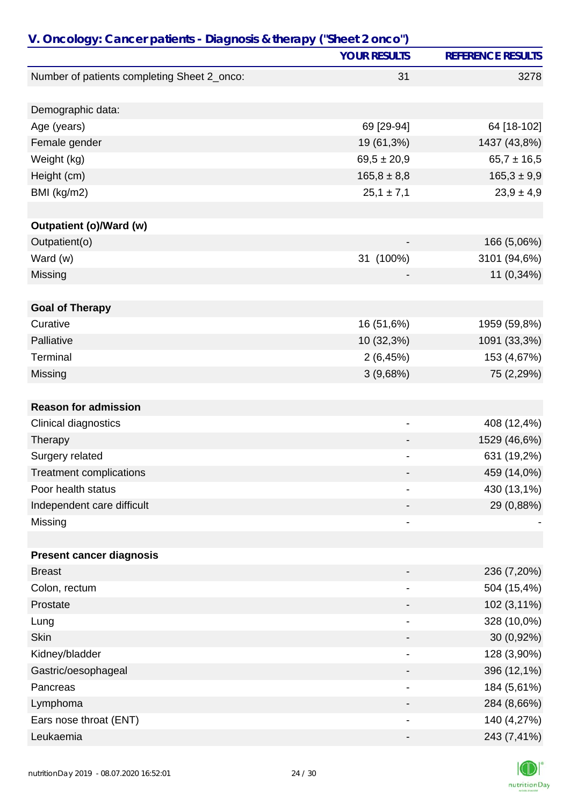| V. Oncology: Cancer patients - Diagnosis & therapy ("Sheet 2 onco") |                              |                          |
|---------------------------------------------------------------------|------------------------------|--------------------------|
|                                                                     | <b>YOUR RESULTS</b>          | <b>REFERENCE RESULTS</b> |
| Number of patients completing Sheet 2_onco:                         | 31                           | 3278                     |
|                                                                     |                              |                          |
| Demographic data:                                                   |                              |                          |
| Age (years)                                                         | 69 [29-94]                   | 64 [18-102]              |
| Female gender                                                       | 19 (61,3%)                   | 1437 (43,8%)             |
| Weight (kg)                                                         | $69,5 \pm 20,9$              | $65,7 \pm 16,5$          |
| Height (cm)                                                         | $165,8 \pm 8,8$              | $165,3 \pm 9,9$          |
| BMI (kg/m2)                                                         | $25,1 \pm 7,1$               | $23,9 \pm 4,9$           |
|                                                                     |                              |                          |
| Outpatient (o)/Ward (w)                                             |                              |                          |
| Outpatient(o)                                                       | $\qquad \qquad \blacksquare$ | 166 (5,06%)              |
| Ward (w)                                                            | 31 (100%)                    | 3101 (94,6%)             |
| Missing                                                             |                              | 11 (0,34%)               |
| <b>Goal of Therapy</b>                                              |                              |                          |
| Curative                                                            | 16 (51,6%)                   | 1959 (59,8%)             |
| Palliative                                                          | 10 (32,3%)                   | 1091 (33,3%)             |
| Terminal                                                            | 2(6,45%)                     | 153 (4,67%)              |
| Missing                                                             | 3(9,68%)                     | 75 (2,29%)               |
|                                                                     |                              |                          |
| <b>Reason for admission</b>                                         |                              |                          |
| Clinical diagnostics                                                | -                            | 408 (12,4%)              |
| Therapy                                                             |                              | 1529 (46,6%)             |
| Surgery related                                                     |                              | 631 (19,2%)              |
| <b>Treatment complications</b>                                      |                              | 459 (14,0%)              |
| Poor health status                                                  |                              | 430 (13,1%)              |
| Independent care difficult                                          |                              | 29 (0,88%)               |
| Missing                                                             | -                            |                          |
|                                                                     |                              |                          |
| <b>Present cancer diagnosis</b>                                     |                              |                          |
| <b>Breast</b>                                                       |                              | 236 (7,20%)              |
| Colon, rectum                                                       |                              | 504 (15,4%)              |
| Prostate                                                            |                              | 102 (3,11%)              |
| Lung                                                                |                              | 328 (10,0%)              |
| <b>Skin</b>                                                         |                              | 30 (0,92%)               |
| Kidney/bladder                                                      | -                            | 128 (3,90%)              |
| Gastric/oesophageal                                                 |                              | 396 (12,1%)              |
| Pancreas                                                            |                              | 184 (5,61%)              |
| Lymphoma                                                            |                              | 284 (8,66%)              |
| Ears nose throat (ENT)                                              |                              | 140 (4,27%)              |
| Leukaemia                                                           |                              | 243 (7,41%)              |

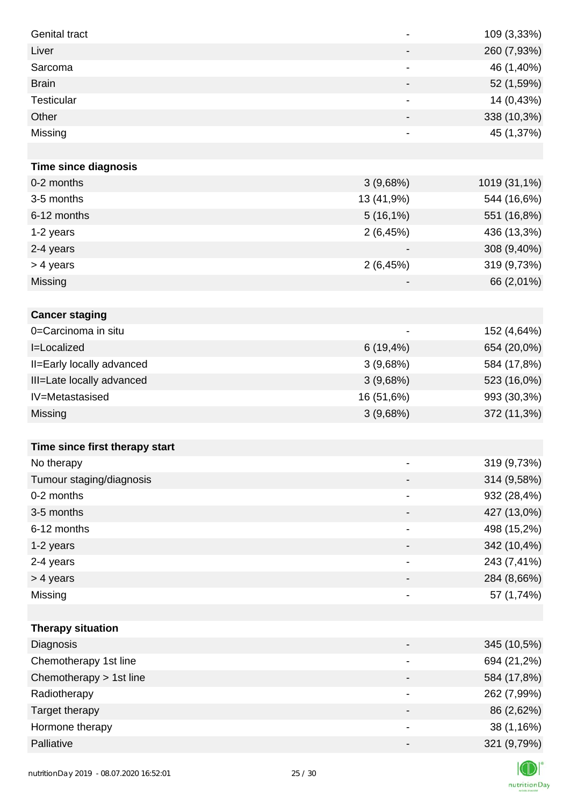| Genital tract                  | $\overline{\phantom{0}}$ | 109 (3,33%)  |
|--------------------------------|--------------------------|--------------|
| Liver                          | $\overline{\phantom{a}}$ | 260 (7,93%)  |
| Sarcoma                        | -                        | 46 (1,40%)   |
| <b>Brain</b>                   | -                        | 52 (1,59%)   |
| <b>Testicular</b>              | -                        | 14 (0,43%)   |
| Other                          |                          | 338 (10,3%)  |
| Missing                        | $\overline{\phantom{0}}$ | 45 (1,37%)   |
|                                |                          |              |
| <b>Time since diagnosis</b>    |                          |              |
| 0-2 months                     | 3(9,68%)                 | 1019 (31,1%) |
| 3-5 months                     | 13 (41,9%)               | 544 (16,6%)  |
| 6-12 months                    | $5(16,1\%)$              | 551 (16,8%)  |
| 1-2 years                      | 2(6,45%)                 | 436 (13,3%)  |
| 2-4 years                      |                          | 308 (9,40%)  |
| > 4 years                      | 2(6,45%)                 | 319 (9,73%)  |
| Missing                        |                          | 66 (2,01%)   |
|                                |                          |              |
| <b>Cancer staging</b>          |                          |              |
| 0=Carcinoma in situ            |                          | 152 (4,64%)  |
| I=Localized                    | $6(19, 4\%)$             | 654 (20,0%)  |
| II=Early locally advanced      | 3(9,68%)                 | 584 (17,8%)  |
| III=Late locally advanced      | 3(9,68%)                 | 523 (16,0%)  |
| IV=Metastasised                | 16 (51,6%)               | 993 (30,3%)  |
| Missing                        | 3(9,68%)                 | 372 (11,3%)  |
|                                |                          |              |
| Time since first therapy start |                          |              |
| No therapy                     |                          | 319 (9,73%)  |
| Tumour staging/diagnosis       | $\overline{\phantom{a}}$ | 314 (9,58%)  |
| 0-2 months                     |                          | 932 (28,4%)  |
| 3-5 months                     | -                        | 427 (13,0%)  |
| 6-12 months                    | -                        | 498 (15,2%)  |
| 1-2 years                      | -                        | 342 (10,4%)  |
| 2-4 years                      | $\overline{\phantom{a}}$ | 243 (7,41%)  |
| > 4 years                      | -                        | 284 (8,66%)  |
| Missing                        | -                        | 57 (1,74%)   |
|                                |                          |              |
| <b>Therapy situation</b>       |                          |              |
| Diagnosis                      | -                        | 345 (10,5%)  |
| Chemotherapy 1st line          |                          | 694 (21,2%)  |
| Chemotherapy > 1st line        | -                        | 584 (17,8%)  |
| Radiotherapy                   | $\overline{\phantom{a}}$ | 262 (7,99%)  |
| Target therapy                 | -                        | 86 (2,62%)   |
| Hormone therapy                | -                        | 38 (1,16%)   |
| Palliative                     | $\overline{\phantom{a}}$ | 321 (9,79%)  |

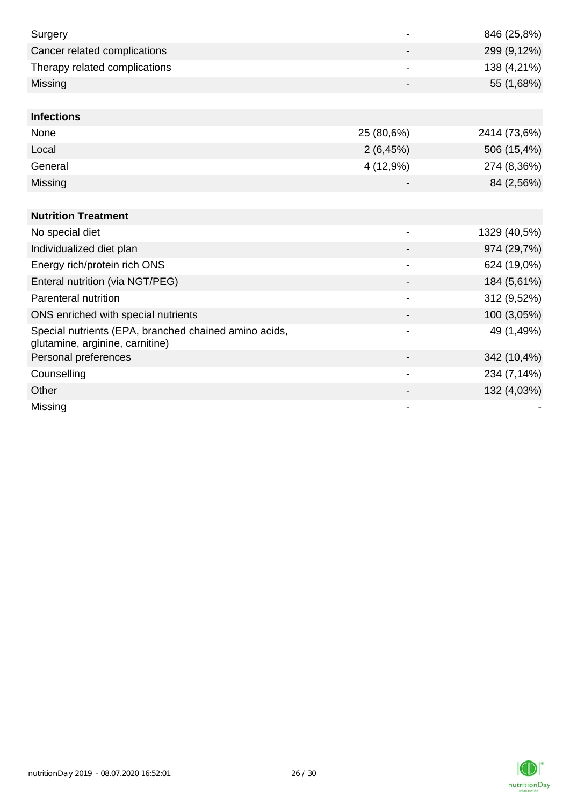| Surgery                                                                                  |                          | 846 (25,8%)  |
|------------------------------------------------------------------------------------------|--------------------------|--------------|
| Cancer related complications                                                             |                          | 299 (9,12%)  |
| Therapy related complications                                                            |                          | 138 (4,21%)  |
| Missing                                                                                  |                          | 55 (1,68%)   |
|                                                                                          |                          |              |
| <b>Infections</b>                                                                        |                          |              |
| None                                                                                     | 25 (80,6%)               | 2414 (73,6%) |
| Local                                                                                    | 2(6,45%)                 | 506 (15,4%)  |
| General                                                                                  | 4 (12,9%)                | 274 (8,36%)  |
| Missing                                                                                  |                          | 84 (2,56%)   |
|                                                                                          |                          |              |
| <b>Nutrition Treatment</b>                                                               |                          |              |
| No special diet                                                                          |                          | 1329 (40,5%) |
| Individualized diet plan                                                                 |                          | 974 (29,7%)  |
| Energy rich/protein rich ONS                                                             | $\blacksquare$           | 624 (19,0%)  |
| Enteral nutrition (via NGT/PEG)                                                          |                          | 184 (5,61%)  |
| Parenteral nutrition                                                                     |                          | 312 (9,52%)  |
| ONS enriched with special nutrients                                                      |                          | 100 (3,05%)  |
| Special nutrients (EPA, branched chained amino acids,<br>glutamine, arginine, carnitine) |                          | 49 (1,49%)   |
| Personal preferences                                                                     |                          | 342 (10,4%)  |
| Counselling                                                                              | $\overline{\phantom{a}}$ | 234 (7,14%)  |
| Other                                                                                    |                          | 132 (4,03%)  |
| Missing                                                                                  |                          |              |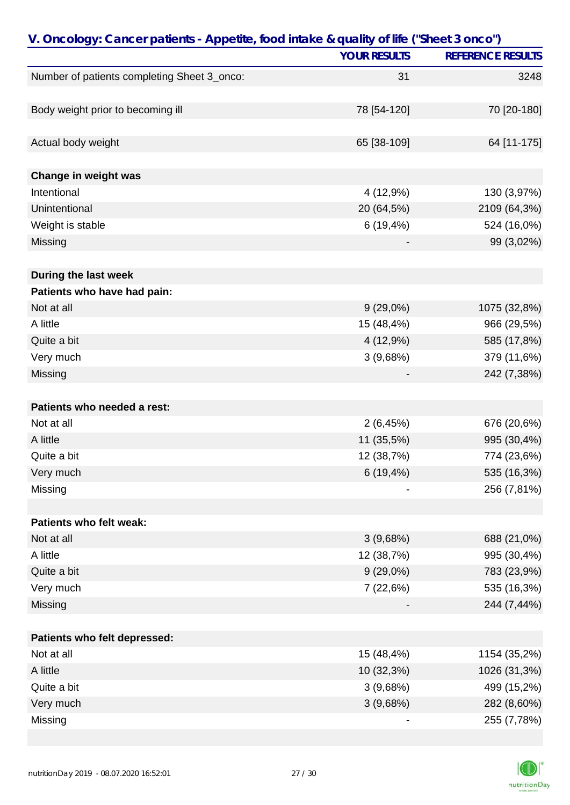| V. Oncology: Cancer patients - Appetite, food intake & quality of life ("Sheet 3 onco") |                     |                          |
|-----------------------------------------------------------------------------------------|---------------------|--------------------------|
|                                                                                         | <b>YOUR RESULTS</b> | <b>REFERENCE RESULTS</b> |
| Number of patients completing Sheet 3_onco:                                             | 31                  | 3248                     |
|                                                                                         |                     |                          |
| Body weight prior to becoming ill                                                       | 78 [54-120]         | 70 [20-180]              |
|                                                                                         |                     |                          |
| Actual body weight                                                                      | 65 [38-109]         | 64 [11-175]              |
|                                                                                         |                     |                          |
| Change in weight was                                                                    |                     |                          |
| Intentional                                                                             | 4 (12,9%)           | 130 (3,97%)              |
| Unintentional                                                                           | 20 (64,5%)          | 2109 (64,3%)             |
| Weight is stable                                                                        | 6(19,4%)            | 524 (16,0%)              |
| Missing                                                                                 |                     | 99 (3,02%)               |
|                                                                                         |                     |                          |
| During the last week                                                                    |                     |                          |
| Patients who have had pain:                                                             |                     |                          |
| Not at all                                                                              | $9(29,0\%)$         | 1075 (32,8%)             |
| A little                                                                                | 15 (48,4%)          | 966 (29,5%)              |
| Quite a bit                                                                             | 4 (12,9%)           | 585 (17,8%)              |
| Very much                                                                               | 3(9,68%)            | 379 (11,6%)              |
| Missing                                                                                 |                     | 242 (7,38%)              |
|                                                                                         |                     |                          |
| Patients who needed a rest:                                                             |                     |                          |
| Not at all                                                                              | 2(6,45%)            | 676 (20,6%)              |
| A little                                                                                | 11 (35,5%)          | 995 (30,4%)              |
| Quite a bit                                                                             | 12 (38,7%)          | 774 (23,6%)              |
| Very much                                                                               | $6(19, 4\%)$        | 535 (16,3%)              |
| Missing                                                                                 |                     | 256 (7,81%)              |
|                                                                                         |                     |                          |
| Patients who felt weak:                                                                 |                     |                          |
| Not at all                                                                              | 3(9,68%)            | 688 (21,0%)              |
| A little                                                                                | 12 (38,7%)          | 995 (30,4%)              |
| Quite a bit                                                                             | $9(29,0\%)$         | 783 (23,9%)              |
| Very much                                                                               | 7(22,6%)            | 535 (16,3%)              |
| Missing                                                                                 |                     | 244 (7,44%)              |
|                                                                                         |                     |                          |
| Patients who felt depressed:                                                            |                     |                          |
| Not at all                                                                              | 15 (48,4%)          | 1154 (35,2%)             |
| A little                                                                                | 10 (32,3%)          | 1026 (31,3%)             |
| Quite a bit                                                                             | 3(9,68%)            | 499 (15,2%)              |
| Very much                                                                               | 3(9,68%)            | 282 (8,60%)              |
| Missing                                                                                 |                     | 255 (7,78%)              |

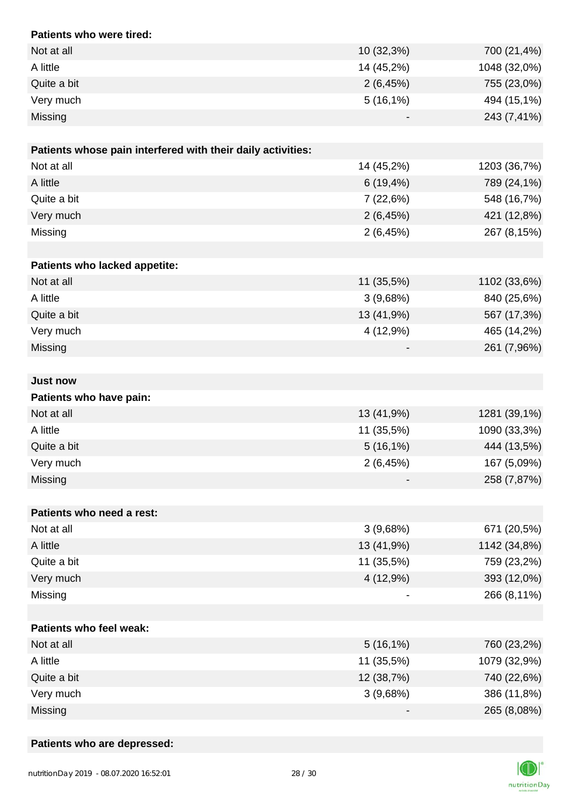| Patients who were tired:                                    |              |              |
|-------------------------------------------------------------|--------------|--------------|
| Not at all                                                  | 10 (32,3%)   | 700 (21,4%)  |
| A little                                                    | 14 (45,2%)   | 1048 (32,0%) |
| Quite a bit                                                 | 2(6,45%)     | 755 (23,0%)  |
| Very much                                                   | $5(16,1\%)$  | 494 (15,1%)  |
| Missing                                                     |              | 243 (7,41%)  |
|                                                             |              |              |
| Patients whose pain interfered with their daily activities: |              |              |
| Not at all                                                  | 14 (45,2%)   | 1203 (36,7%) |
| A little                                                    | $6(19, 4\%)$ | 789 (24,1%)  |
| Quite a bit                                                 | 7(22,6%)     | 548 (16,7%)  |
| Very much                                                   | 2(6,45%)     | 421 (12,8%)  |
| Missing                                                     | 2(6,45%)     | 267 (8,15%)  |
|                                                             |              |              |
| Patients who lacked appetite:                               |              |              |
| Not at all                                                  | 11 (35,5%)   | 1102 (33,6%) |
| A little                                                    | 3(9,68%)     | 840 (25,6%)  |
| Quite a bit                                                 | 13 (41,9%)   | 567 (17,3%)  |
| Very much                                                   | 4 (12,9%)    | 465 (14,2%)  |
| Missing                                                     |              | 261 (7,96%)  |
|                                                             |              |              |
| <b>Just now</b>                                             |              |              |
| Patients who have pain:                                     |              |              |
| Not at all                                                  | 13 (41,9%)   | 1281 (39,1%) |
| A little                                                    | 11 (35,5%)   | 1090 (33,3%) |
| Quite a bit                                                 | $5(16,1\%)$  | 444 (13,5%)  |
| Very much                                                   | 2(6,45%)     | 167 (5,09%)  |
| Missing                                                     |              | 258 (7,87%)  |
|                                                             |              |              |
| Patients who need a rest:                                   |              |              |
| Not at all                                                  | 3(9,68%)     | 671 (20,5%)  |
| A little                                                    | 13 (41,9%)   | 1142 (34,8%) |
| Quite a bit                                                 | 11 (35,5%)   | 759 (23,2%)  |
| Very much                                                   | 4 (12,9%)    | 393 (12,0%)  |
| Missing                                                     |              | 266 (8,11%)  |
|                                                             |              |              |
| Patients who feel weak:                                     |              |              |
| Not at all                                                  | $5(16,1\%)$  | 760 (23,2%)  |
| A little                                                    | 11 (35,5%)   | 1079 (32,9%) |
| Quite a bit                                                 | 12 (38,7%)   | 740 (22,6%)  |
| Very much                                                   | 3(9,68%)     | 386 (11,8%)  |
| Missing                                                     |              | 265 (8,08%)  |

### **Patients who are depressed:**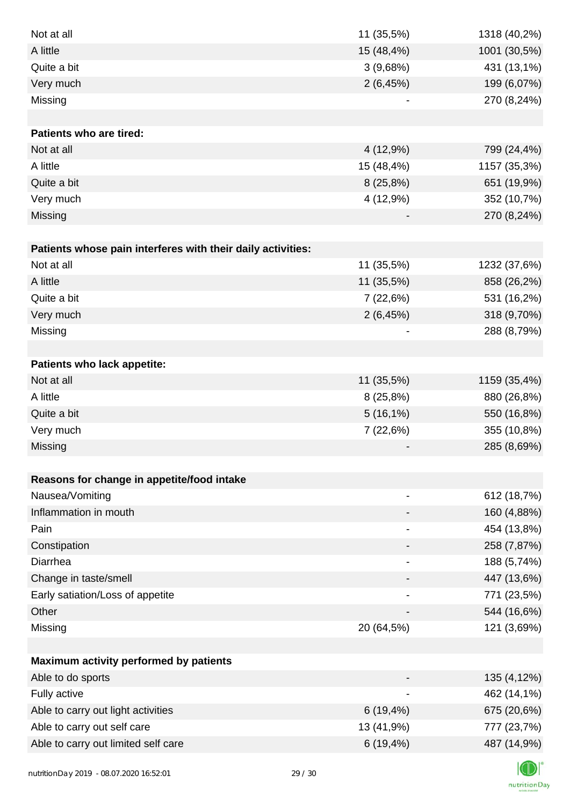| Not at all                                                  | 11 (35,5%)                   | 1318 (40,2%) |
|-------------------------------------------------------------|------------------------------|--------------|
| A little                                                    | 15 (48,4%)                   | 1001 (30,5%) |
| Quite a bit                                                 | 3(9,68%)                     | 431 (13,1%)  |
| Very much                                                   | 2(6,45%)                     | 199 (6,07%)  |
| Missing                                                     | $\qquad \qquad \blacksquare$ | 270 (8,24%)  |
|                                                             |                              |              |
| <b>Patients who are tired:</b>                              |                              |              |
| Not at all                                                  | 4 (12,9%)                    | 799 (24,4%)  |
| A little                                                    | 15 (48,4%)                   | 1157 (35,3%) |
| Quite a bit                                                 | 8(25,8%)                     | 651 (19,9%)  |
| Very much                                                   | 4 (12,9%)                    | 352 (10,7%)  |
| Missing                                                     |                              | 270 (8,24%)  |
|                                                             |                              |              |
| Patients whose pain interferes with their daily activities: |                              |              |
| Not at all                                                  | 11 (35,5%)                   | 1232 (37,6%) |
| A little                                                    | 11 (35,5%)                   | 858 (26,2%)  |
| Quite a bit                                                 | 7(22,6%)                     | 531 (16,2%)  |
| Very much                                                   | 2(6,45%)                     | 318 (9,70%)  |
| Missing                                                     |                              | 288 (8,79%)  |
|                                                             |                              |              |
| Patients who lack appetite:                                 |                              |              |
| Not at all                                                  | 11 (35,5%)                   | 1159 (35,4%) |
| A little                                                    | 8(25,8%)                     | 880 (26,8%)  |
| Quite a bit                                                 | $5(16,1\%)$                  | 550 (16,8%)  |
| Very much                                                   | 7 (22,6%)                    | 355 (10,8%)  |
| Missing                                                     |                              | 285 (8,69%)  |
|                                                             |                              |              |
| Reasons for change in appetite/food intake                  |                              |              |
| Nausea/Vomiting                                             | $\overline{\phantom{0}}$     | 612 (18,7%)  |
| Inflammation in mouth                                       |                              | 160 (4,88%)  |
| Pain                                                        |                              | 454 (13,8%)  |
| Constipation                                                |                              | 258 (7,87%)  |
| Diarrhea                                                    |                              | 188 (5,74%)  |
| Change in taste/smell                                       |                              | 447 (13,6%)  |
| Early satiation/Loss of appetite                            |                              | 771 (23,5%)  |
| Other                                                       |                              | 544 (16,6%)  |
| Missing                                                     | 20 (64,5%)                   | 121 (3,69%)  |
|                                                             |                              |              |
| Maximum activity performed by patients                      |                              |              |
| Able to do sports                                           |                              | 135 (4,12%)  |
| Fully active                                                |                              | 462 (14,1%)  |
| Able to carry out light activities                          | $6(19, 4\%)$                 | 675 (20,6%)  |
| Able to carry out self care                                 | 13 (41,9%)                   | 777 (23,7%)  |
| Able to carry out limited self care                         | $6(19, 4\%)$                 | 487 (14,9%)  |
|                                                             |                              |              |

K